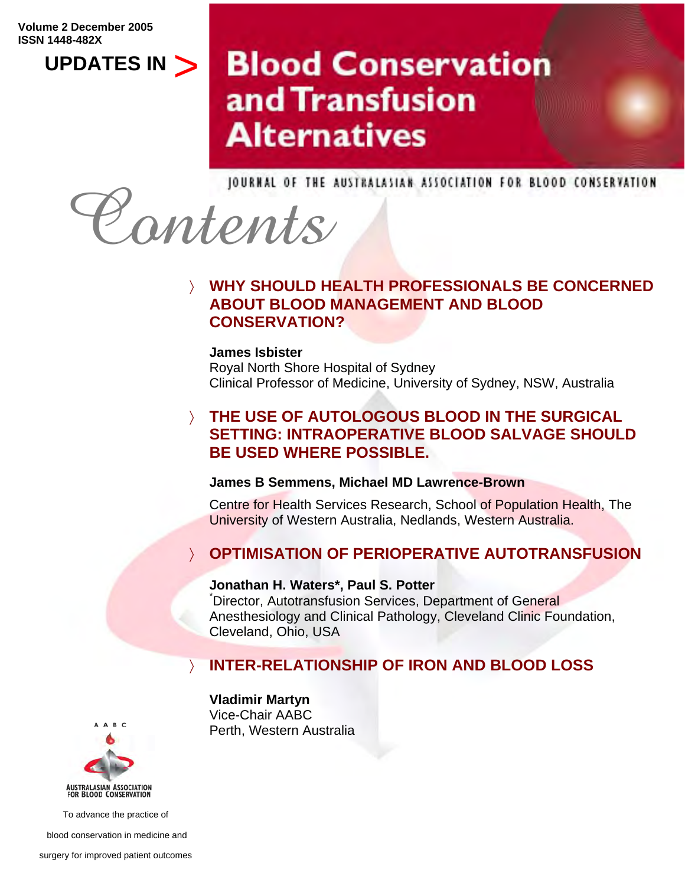**Volume 2 December 2005 ISSN 1448-482X** 

**UPDATES IN** 

# **Blood Conservation** and Transfusion **Alternatives**



### 〉 **WHY SHOULD HEALTH PROFESSIONALS BE CONCERNED ABOUT BLOOD MANAGEMENT AND BLOOD CONSERVATION?**

**James Isbister** 

Royal North Shore Hospital of Sydney Clinical Professor of Medicine, University of Sydney, NSW, Australia

### 〉 **THE USE OF AUTOLOGOUS BLOOD IN THE SURGICAL SETTING: INTRAOPERATIVE BLOOD SALVAGE SHOULD BE USED WHERE POSSIBLE.**

### **James B Semmens, Michael MD Lawrence-Brown**

Centre for Health Services Research, School of Population Health, The University of Western Australia, Nedlands, Western Australia.

### **OPTIMISATION OF PERIOPERATIVE AUTOTRANSFUSION**

### **Jonathan H. Waters\*, Paul S. Potter**

\* Director, Autotransfusion Services, Department of General Anesthesiology and Clinical Pathology, Cleveland Clinic Foundation, Cleveland, Ohio, USA

### 〉 **INTER-RELATIONSHIP OF IRON AND BLOOD LOSS**

### **Vladimir Martyn**

Vice-Chair AABC Perth, Western Australia



To advance the practice of

blood conservation in medicine and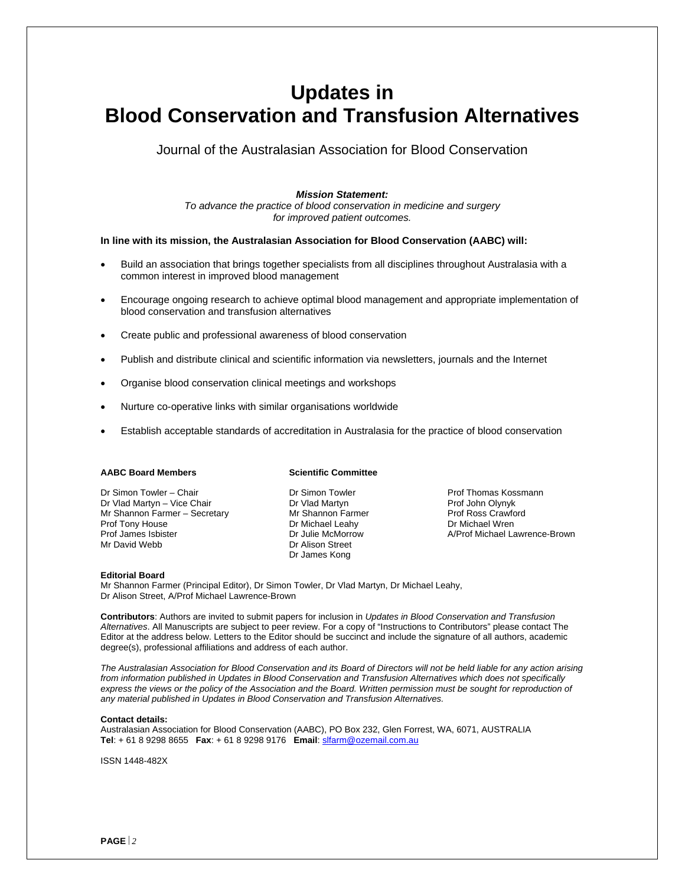## **Updates in Blood Conservation and Transfusion Alternatives**

Journal of the Australasian Association for Blood Conservation

#### *Mission Statement:*

*To advance the practice of blood conservation in medicine and surgery for improved patient outcomes.* 

#### **In line with its mission, the Australasian Association for Blood Conservation (AABC) will:**

- Build an association that brings together specialists from all disciplines throughout Australasia with a common interest in improved blood management
- Encourage ongoing research to achieve optimal blood management and appropriate implementation of blood conservation and transfusion alternatives
- Create public and professional awareness of blood conservation
- Publish and distribute clinical and scientific information via newsletters, journals and the Internet
- Organise blood conservation clinical meetings and workshops
- Nurture co-operative links with similar organisations worldwide
- Establish acceptable standards of accreditation in Australasia for the practice of blood conservation

#### **AABC Board Members**

Dr Simon Towler – Chair Dr Vlad Martyn – Vice Chair Mr Shannon Farmer – Secretary Prof Tony House Prof James Isbister Mr David Webb

#### **Scientific Committee**

Dr Simon Towler Dr Vlad Martyn Mr Shannon Farmer Dr Michael Leahy Dr Julie McMorrow Dr Alison Street Dr James Kong

Prof Thomas Kossmann Prof John Olynyk Prof Ross Crawford Dr Michael Wren A/Prof Michael Lawrence-Brown

#### **Editorial Board**

Mr Shannon Farmer (Principal Editor), Dr Simon Towler, Dr Vlad Martyn, Dr Michael Leahy, Dr Alison Street, A/Prof Michael Lawrence-Brown

**Contributors**: Authors are invited to submit papers for inclusion in *Updates in Blood Conservation and Transfusion Alternatives*. All Manuscripts are subject to peer review. For a copy of "Instructions to Contributors" please contact The Editor at the address below. Letters to the Editor should be succinct and include the signature of all authors, academic degree(s), professional affiliations and address of each author.

*The Australasian Association for Blood Conservation and its Board of Directors will not be held liable for any action arising from information published in Updates in Blood Conservation and Transfusion Alternatives which does not specifically*  express the views or the policy of the Association and the Board. Written permission must be sought for reproduction of *any material published in Updates in Blood Conservation and Transfusion Alternatives.* 

#### **Contact details:**

Australasian Association for Blood Conservation (AABC), PO Box 232, Glen Forrest, WA, 6071, AUSTRALIA **Tel**: + 61 8 9298 8655 **Fax**: + 61 8 9298 9176 **Email**: [slfarm@ozemail.com.au](mailto:slfarm@ozemail.com.au)

ISSN 1448-482X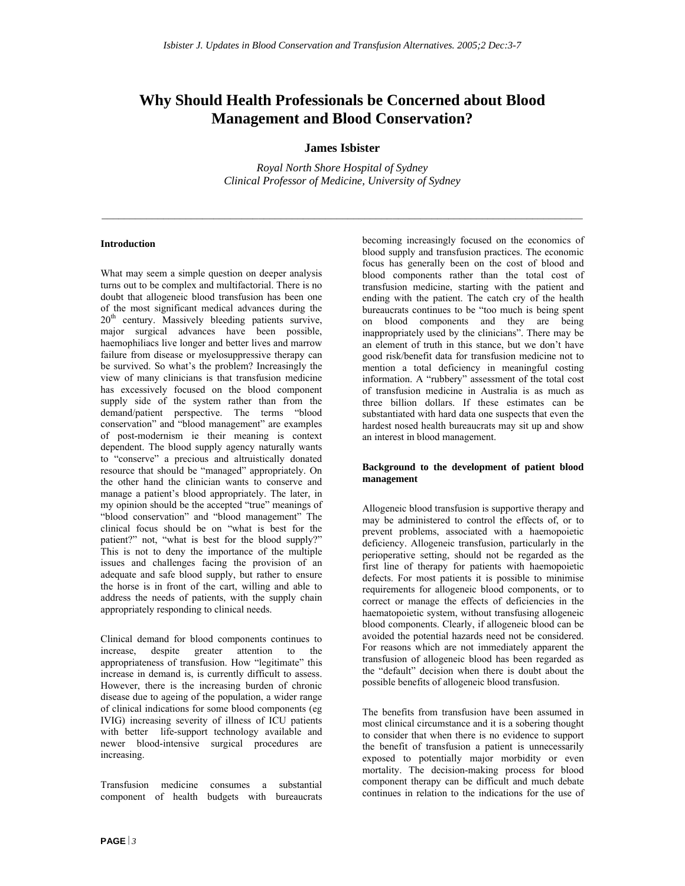### **Why Should Health Professionals be Concerned about Blood Management and Blood Conservation?**

#### **James Isbister**

*Royal North Shore Hospital of Sydney Clinical Professor of Medicine, University of Sydney* 

#### **Introduction**

What may seem a simple question on deeper analysis turns out to be complex and multifactorial. There is no doubt that allogeneic blood transfusion has been one of the most significant medical advances during the 20<sup>th</sup> century. Massively bleeding patients survive, major surgical advances have been possible, haemophiliacs live longer and better lives and marrow failure from disease or myelosuppressive therapy can be survived. So what's the problem? Increasingly the view of many clinicians is that transfusion medicine has excessively focused on the blood component supply side of the system rather than from the demand/patient perspective. The terms "blood conservation" and "blood management" are examples of post-modernism ie their meaning is context dependent. The blood supply agency naturally wants to "conserve" a precious and altruistically donated resource that should be "managed" appropriately. On the other hand the clinician wants to conserve and manage a patient's blood appropriately. The later, in my opinion should be the accepted "true" meanings of "blood conservation" and "blood management" The clinical focus should be on "what is best for the patient?" not, "what is best for the blood supply?" This is not to deny the importance of the multiple issues and challenges facing the provision of an adequate and safe blood supply, but rather to ensure the horse is in front of the cart, willing and able to address the needs of patients, with the supply chain appropriately responding to clinical needs.

Clinical demand for blood components continues to increase, despite greater attention to the appropriateness of transfusion. How "legitimate" this increase in demand is, is currently difficult to assess. However, there is the increasing burden of chronic disease due to ageing of the population, a wider range of clinical indications for some blood components (eg IVIG) increasing severity of illness of ICU patients with better life-support technology available and newer blood-intensive surgical procedures are increasing.

Transfusion medicine consumes a substantial component of health budgets with bureaucrats becoming increasingly focused on the economics of blood supply and transfusion practices. The economic focus has generally been on the cost of blood and blood components rather than the total cost of transfusion medicine, starting with the patient and ending with the patient. The catch cry of the health bureaucrats continues to be "too much is being spent on blood components and they are being inappropriately used by the clinicians". There may be an element of truth in this stance, but we don't have good risk/benefit data for transfusion medicine not to mention a total deficiency in meaningful costing information. A "rubbery" assessment of the total cost of transfusion medicine in Australia is as much as three billion dollars. If these estimates can be substantiated with hard data one suspects that even the hardest nosed health bureaucrats may sit up and show an interest in blood management.

#### **Background to the development of patient blood management**

Allogeneic blood transfusion is supportive therapy and may be administered to control the effects of, or to prevent problems, associated with a haemopoietic deficiency. Allogeneic transfusion, particularly in the perioperative setting, should not be regarded as the first line of therapy for patients with haemopoietic defects. For most patients it is possible to minimise requirements for allogeneic blood components, or to correct or manage the effects of deficiencies in the haematopoietic system, without transfusing allogeneic blood components. Clearly, if allogeneic blood can be avoided the potential hazards need not be considered. For reasons which are not immediately apparent the transfusion of allogeneic blood has been regarded as the "default" decision when there is doubt about the possible benefits of allogeneic blood transfusion.

The benefits from transfusion have been assumed in most clinical circumstance and it is a sobering thought to consider that when there is no evidence to support the benefit of transfusion a patient is unnecessarily exposed to potentially major morbidity or even mortality. The decision-making process for blood component therapy can be difficult and much debate continues in relation to the indications for the use of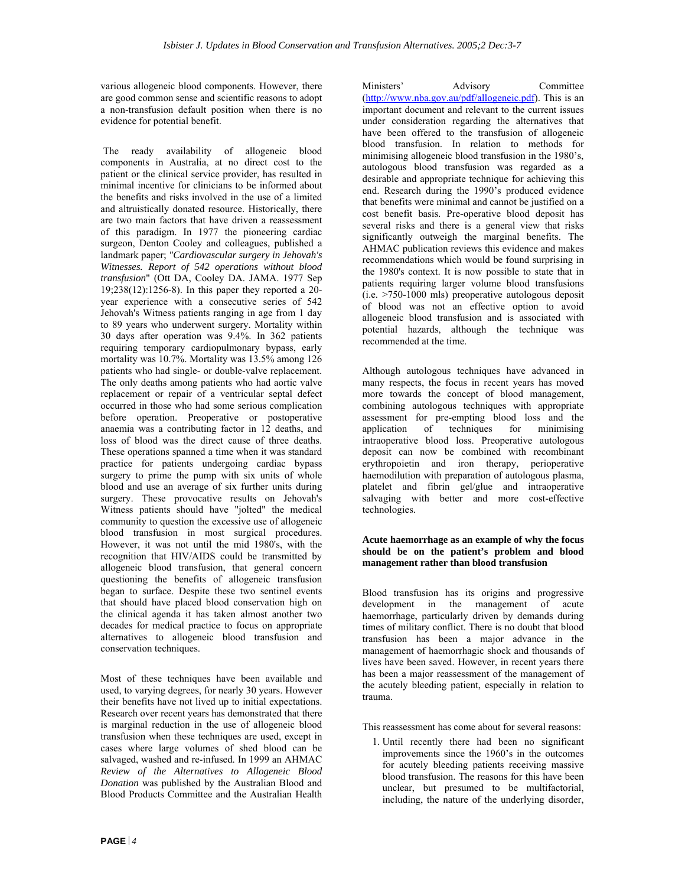various allogeneic blood components. However, there are good common sense and scientific reasons to adopt a non-transfusion default position when there is no evidence for potential benefit.

 The ready availability of allogeneic blood components in Australia, at no direct cost to the patient or the clinical service provider, has resulted in minimal incentive for clinicians to be informed about the benefits and risks involved in the use of a limited and altruistically donated resource. Historically, there are two main factors that have driven a reassessment of this paradigm. In 1977 the pioneering cardiac surgeon, Denton Cooley and colleagues, published a landmark paper; *"Cardiovascular surgery in Jehovah's Witnesses. Report of 542 operations without blood transfusion*" (Ott DA, Cooley DA. JAMA. 1977 Sep 19;238(12):1256-8). In this paper they reported a 20 year experience with a consecutive series of 542 Jehovah's Witness patients ranging in age from 1 day to 89 years who underwent surgery. Mortality within 30 days after operation was 9.4%. In 362 patients requiring temporary cardiopulmonary bypass, early mortality was 10.7%. Mortality was 13.5% among 126 patients who had single- or double-valve replacement. The only deaths among patients who had aortic valve replacement or repair of a ventricular septal defect occurred in those who had some serious complication before operation. Preoperative or postoperative anaemia was a contributing factor in 12 deaths, and loss of blood was the direct cause of three deaths. These operations spanned a time when it was standard practice for patients undergoing cardiac bypass surgery to prime the pump with six units of whole blood and use an average of six further units during surgery. These provocative results on Jehovah's Witness patients should have "jolted" the medical community to question the excessive use of allogeneic blood transfusion in most surgical procedures. However, it was not until the mid 1980's, with the recognition that HIV/AIDS could be transmitted by allogeneic blood transfusion, that general concern questioning the benefits of allogeneic transfusion began to surface. Despite these two sentinel events that should have placed blood conservation high on the clinical agenda it has taken almost another two decades for medical practice to focus on appropriate alternatives to allogeneic blood transfusion and conservation techniques.

Most of these techniques have been available and used, to varying degrees, for nearly 30 years. However their benefits have not lived up to initial expectations. Research over recent years has demonstrated that there is marginal reduction in the use of allogeneic blood transfusion when these techniques are used, except in cases where large volumes of shed blood can be salvaged, washed and re-infused. In 1999 an AHMAC *Review of the Alternatives to Allogeneic Blood Donation* was published by the Australian Blood and Blood Products Committee and the Australian Health

Ministers' Advisory Committee ([http://www.nba.gov.au/pdf/allogeneic.pdf\)](http://www.nba.gov.au/pdf/homologous.pdf). This is an important document and relevant to the current issues under consideration regarding the alternatives that have been offered to the transfusion of allogeneic blood transfusion. In relation to methods for minimising allogeneic blood transfusion in the 1980's, autologous blood transfusion was regarded as a desirable and appropriate technique for achieving this end. Research during the 1990's produced evidence that benefits were minimal and cannot be justified on a cost benefit basis. Pre-operative blood deposit has several risks and there is a general view that risks significantly outweigh the marginal benefits. The AHMAC publication reviews this evidence and makes recommendations which would be found surprising in the 1980's context. It is now possible to state that in patients requiring larger volume blood transfusions (i.e. >750-1000 mls) preoperative autologous deposit of blood was not an effective option to avoid allogeneic blood transfusion and is associated with potential hazards, although the technique was recommended at the time.

Although autologous techniques have advanced in many respects, the focus in recent years has moved more towards the concept of blood management, combining autologous techniques with appropriate assessment for pre-empting blood loss and the application of techniques for minimising intraoperative blood loss. Preoperative autologous deposit can now be combined with recombinant erythropoietin and iron therapy, perioperative haemodilution with preparation of autologous plasma, platelet and fibrin gel/glue and intraoperative salvaging with better and more cost-effective technologies.

#### **Acute haemorrhage as an example of why the focus should be on the patient's problem and blood management rather than blood transfusion**

Blood transfusion has its origins and progressive development in the management of acute haemorrhage, particularly driven by demands during times of military conflict. There is no doubt that blood transfusion has been a major advance in the management of haemorrhagic shock and thousands of lives have been saved. However, in recent years there has been a major reassessment of the management of the acutely bleeding patient, especially in relation to trauma.

This reassessment has come about for several reasons:

1. Until recently there had been no significant improvements since the 1960's in the outcomes for acutely bleeding patients receiving massive blood transfusion. The reasons for this have been unclear, but presumed to be multifactorial, including, the nature of the underlying disorder,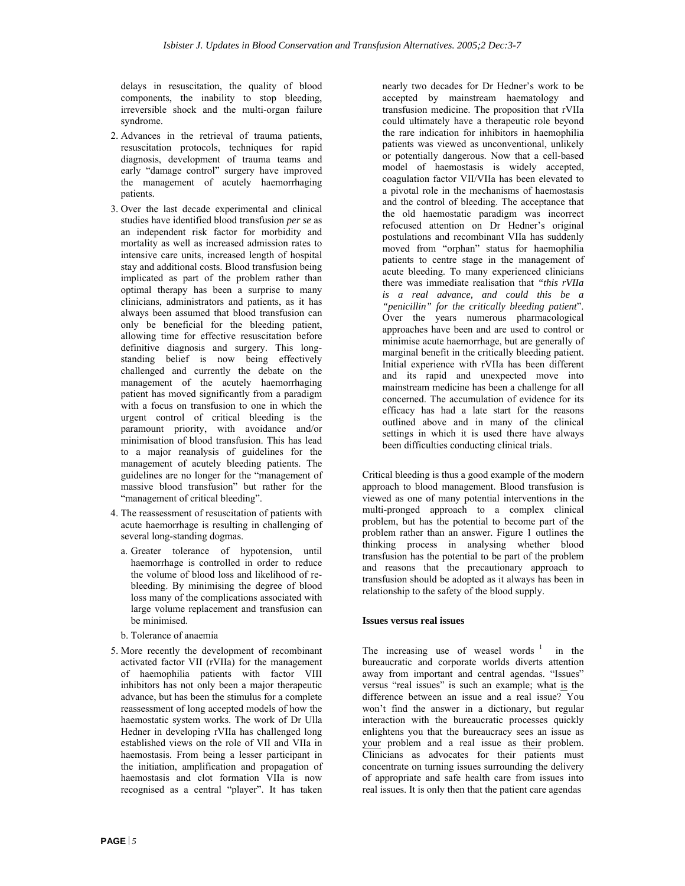delays in resuscitation, the quality of blood components, the inability to stop bleeding, irreversible shock and the multi-organ failure syndrome.

- 2. Advances in the retrieval of trauma patients, resuscitation protocols, techniques for rapid diagnosis, development of trauma teams and early "damage control" surgery have improved the management of acutely haemorrhaging patients.
- 3. Over the last decade experimental and clinical studies have identified blood transfusion *per se* as an independent risk factor for morbidity and mortality as well as increased admission rates to intensive care units, increased length of hospital stay and additional costs. Blood transfusion being implicated as part of the problem rather than optimal therapy has been a surprise to many clinicians, administrators and patients, as it has always been assumed that blood transfusion can only be beneficial for the bleeding patient, allowing time for effective resuscitation before definitive diagnosis and surgery. This longstanding belief is now being effectively challenged and currently the debate on the management of the acutely haemorrhaging patient has moved significantly from a paradigm with a focus on transfusion to one in which the urgent control of critical bleeding is the paramount priority, with avoidance and/or minimisation of blood transfusion. This has lead to a major reanalysis of guidelines for the management of acutely bleeding patients. The guidelines are no longer for the "management of massive blood transfusion" but rather for the "management of critical bleeding".
- 4. The reassessment of resuscitation of patients with acute haemorrhage is resulting in challenging of several long-standing dogmas.
	- a. Greater tolerance of hypotension, until haemorrhage is controlled in order to reduce the volume of blood loss and likelihood of rebleeding. By minimising the degree of blood loss many of the complications associated with large volume replacement and transfusion can be minimised.
	- b. Tolerance of anaemia
- 5. More recently the development of recombinant activated factor VII (rVIIa) for the management of haemophilia patients with factor VIII inhibitors has not only been a major therapeutic advance, but has been the stimulus for a complete reassessment of long accepted models of how the haemostatic system works. The work of Dr Ulla Hedner in developing rVIIa has challenged long established views on the role of VII and VIIa in haemostasis. From being a lesser participant in the initiation, amplification and propagation of haemostasis and clot formation VIIa is now recognised as a central "player". It has taken

nearly two decades for Dr Hedner's work to be accepted by mainstream haematology and transfusion medicine. The proposition that rVIIa could ultimately have a therapeutic role beyond the rare indication for inhibitors in haemophilia patients was viewed as unconventional, unlikely or potentially dangerous. Now that a cell-based model of haemostasis is widely accepted, coagulation factor VII/VIIa has been elevated to a pivotal role in the mechanisms of haemostasis and the control of bleeding. The acceptance that the old haemostatic paradigm was incorrect refocused attention on Dr Hedner's original postulations and recombinant VIIa has suddenly moved from "orphan" status for haemophilia patients to centre stage in the management of acute bleeding. To many experienced clinicians there was immediate realisation that *"this rVIIa is a real advance, and could this be a "penicillin" for the critically bleeding patient*". Over the years numerous pharmacological approaches have been and are used to control or minimise acute haemorrhage, but are generally of marginal benefit in the critically bleeding patient. Initial experience with rVIIa has been different and its rapid and unexpected move into mainstream medicine has been a challenge for all concerned. The accumulation of evidence for its efficacy has had a late start for the reasons outlined above and in many of the clinical settings in which it is used there have always been difficulties conducting clinical trials.

Critical bleeding is thus a good example of the modern approach to blood management. Blood transfusion is viewed as one of many potential interventions in the multi-pronged approach to a complex clinical problem, but has the potential to become part of the problem rather than an answer. Figure 1 outlines the thinking process in analysing whether blood transfusion has the potential to be part of the problem and reasons that the precautionary approach to transfusion should be adopted as it always has been in relationship to the safety of the blood supply.

#### **Issues versus real issues**

The increasing use of weasel words  $1$  in the bureaucratic and corporate worlds diverts attention away from important and central agendas. "Issues" versus "real issues" is such an example; what is the difference between an issue and a real issue? You won't find the answer in a dictionary, but regular interaction with the bureaucratic processes quickly enlightens you that the bureaucracy sees an issue as your problem and a real issue as their problem. Clinicians as advocates for their patients must concentrate on turning issues surrounding the delivery of appropriate and safe health care from issues into real issues. It is only then that the patient care agendas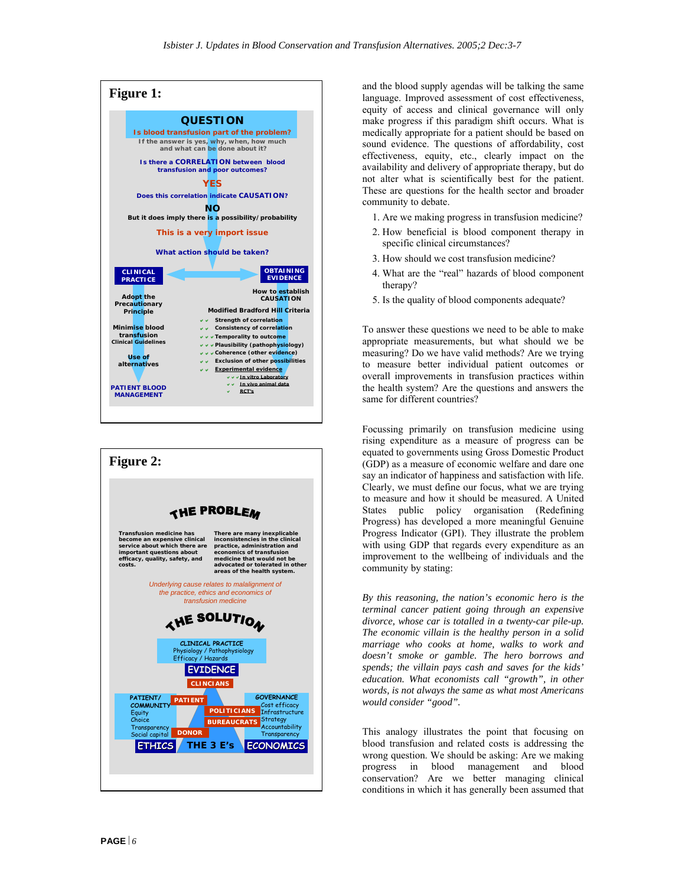



and the blood supply agendas will be talking the same language. Improved assessment of cost effectiveness, equity of access and clinical governance will only make progress if this paradigm shift occurs. What is medically appropriate for a patient should be based on sound evidence. The questions of affordability, cost effectiveness, equity, etc., clearly impact on the availability and delivery of appropriate therapy, but do not alter what is scientifically best for the patient. These are questions for the health sector and broader community to debate.

- 1. Are we making progress in transfusion medicine?
- 2. How beneficial is blood component therapy in specific clinical circumstances?
- 3. How should we cost transfusion medicine?
- 4. What are the "real" hazards of blood component therapy?
- 5. Is the quality of blood components adequate?

To answer these questions we need to be able to make appropriate measurements, but what should we be measuring? Do we have valid methods? Are we trying to measure better individual patient outcomes or overall improvements in transfusion practices within the health system? Are the questions and answers the same for different countries?

Focussing primarily on transfusion medicine using rising expenditure as a measure of progress can be equated to governments using Gross Domestic Product (GDP) as a measure of economic welfare and dare one say an indicator of happiness and satisfaction with life. Clearly, we must define our focus, what we are trying to measure and how it should be measured. A United States public policy organisation (Redefining Progress) has developed a more meaningful Genuine Progress Indicator (GPI). They illustrate the problem with using GDP that regards every expenditure as an improvement to the wellbeing of individuals and the community by stating:

*transfusion medicine By this reasoning, the nation's economic hero is the terminal cancer patient going through an expensive divorce, whose car is totalled in a twenty-car pile-up. The economic villain is the healthy person in a solid marriage who cooks at home, walks to work and doesn't smoke or gamble. The hero borrows and spends; the villain pays cash and saves for the kids' education. What economists call "growth", in other words, is not always the same as what most Americans would consider "good".* 

> This analogy illustrates the point that focusing on blood transfusion and related costs is addressing the wrong question. We should be asking: Are we making progress in blood management and blood conservation? Are we better managing clinical conditions in which it has generally been assumed that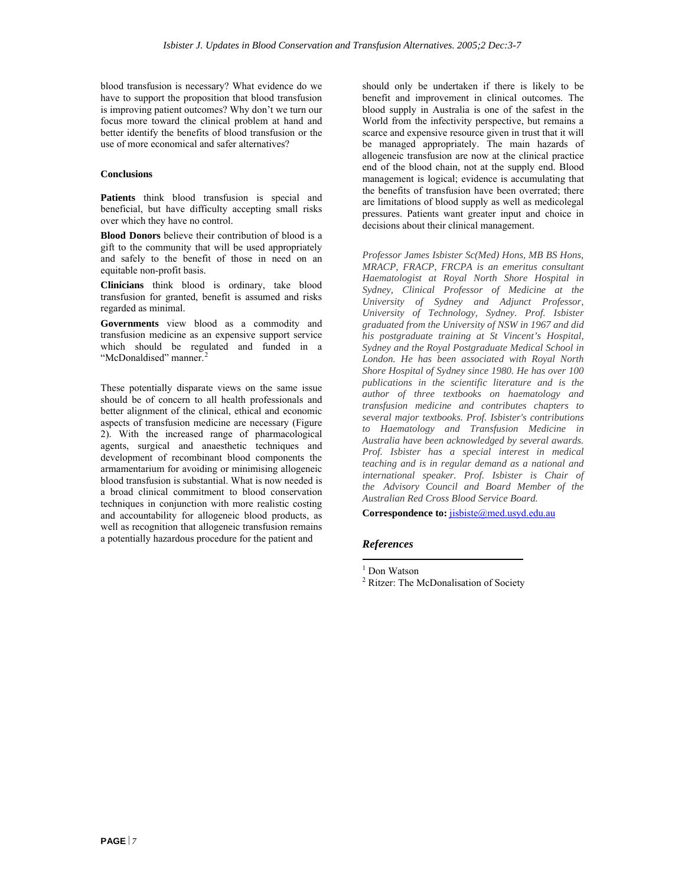blood transfusion is necessary? What evidence do we have to support the proposition that blood transfusion is improving patient outcomes? Why don't we turn our focus more toward the clinical problem at hand and better identify the benefits of blood transfusion or the use of more economical and safer alternatives?

#### **Conclusions**

**Patients** think blood transfusion is special and beneficial, but have difficulty accepting small risks over which they have no control.

**Blood Donors** believe their contribution of blood is a gift to the community that will be used appropriately and safely to the benefit of those in need on an equitable non-profit basis.

**Clinicians** think blood is ordinary, take blood transfusion for granted, benefit is assumed and risks regarded as minimal.

**Governments** view blood as a commodity and transfusion medicine as an expensive support service which should be regulated and funded in a "McDonaldised" manner.<sup>[2](#page-31-1)</sup>

These potentially disparate views on the same issue should be of concern to all health professionals and better alignment of the clinical, ethical and economic aspects of transfusion medicine are necessary (Figure 2). With the increased range of pharmacological agents, surgical and anaesthetic techniques and development of recombinant blood components the armamentarium for avoiding or minimising allogeneic blood transfusion is substantial. What is now needed is a broad clinical commitment to blood conservation techniques in conjunction with more realistic costing and accountability for allogeneic blood products, as well as recognition that allogeneic transfusion remains a potentially hazardous procedure for the patient and

should only be undertaken if there is likely to be benefit and improvement in clinical outcomes. The blood supply in Australia is one of the safest in the World from the infectivity perspective, but remains a scarce and expensive resource given in trust that it will be managed appropriately. The main hazards of allogeneic transfusion are now at the clinical practice end of the blood chain, not at the supply end. Blood management is logical; evidence is accumulating that the benefits of transfusion have been overrated; there are limitations of blood supply as well as medicolegal pressures. Patients want greater input and choice in decisions about their clinical management.

*Professor James Isbister Sc(Med) Hons, MB BS Hons, MRACP, FRACP, FRCPA is an emeritus consultant Haematologist at Royal North Shore Hospital in Sydney, Clinical Professor of Medicine at the University of Sydney and Adjunct Professor, University of Technology, Sydney. Prof. Isbister graduated from the University of NSW in 1967 and did his postgraduate training at St Vincent's Hospital, Sydney and the Royal Postgraduate Medical School in London. He has been associated with Royal North Shore Hospital of Sydney since 1980. He has over 100 publications in the scientific literature and is the author of three textbooks on haematology and transfusion medicine and contributes chapters to several major textbooks. Prof. Isbister's contributions to Haematology and Transfusion Medicine in Australia have been acknowledged by several awards. Prof. Isbister has a special interest in medical teaching and is in regular demand as a national and international speaker. Prof. Isbister is Chair of the Advisory Council and Board Member of the Australian Red Cross Blood Service Board.*

Correspondence to: **[jisbiste@med.usyd.edu.au](mailto:jisbiste@med.usyd.edu.au)** 

#### *References*

 $\overline{a}$ 

<sup>1</sup> Don Watson

<sup>&</sup>lt;sup>2</sup> Ritzer: The McDonalisation of Society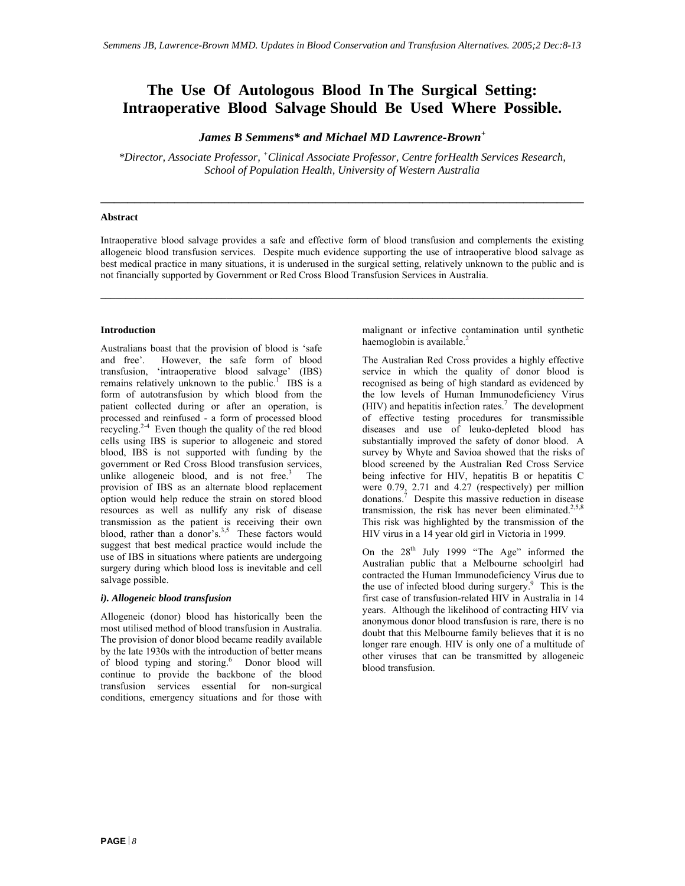### **The Use Of Autologous Blood In The Surgical Setting: Intraoperative Blood Salvage Should Be Used Where Possible.**

*James B Semmens\* and Michael MD Lawrence-Brown<sup>+</sup>*

*\*Director, Associate Professor, + Clinical Associate Professor, Centre forHealth Services Research, School of Population Health, University of Western Australia* 

**\_\_\_\_\_\_\_\_\_\_\_\_\_\_\_\_\_\_\_\_\_\_\_\_\_\_\_\_\_\_\_\_\_\_\_\_\_\_\_\_\_\_\_\_\_\_\_\_\_\_\_\_\_\_\_\_\_\_\_\_\_\_\_\_\_\_\_\_\_\_\_\_** 

#### **Abstract**

Intraoperative blood salvage provides a safe and effective form of blood transfusion and complements the existing allogeneic blood transfusion services. Despite much evidence supporting the use of intraoperative blood salvage as best medical practice in many situations, it is underused in the surgical setting, relatively unknown to the public and is not financially supported by Government or Red Cross Blood Transfusion Services in Australia.

#### **Introduction**

Australians boast that the provision of blood is 'safe and free'. However, the safe form of blood transfusion, 'intraoperative blood salvage' (IBS) remains relatively unknown to the public.<sup>1</sup> IBS is a form of autotransfusion by which blood from the patient collected during or after an operation, is processed and reinfused - a form of processed blood recycling. $2-4$  Even though the quality of the red blood cells using IBS is superior to allogeneic and stored blood, IBS is not supported with funding by the government or Red Cross Blood transfusion services, unlike allogeneic blood, and is not free. $3$  The provision of IBS as an alternate blood replacement option would help reduce the strain on stored blood resources as well as nullify any risk of disease transmission as the patient is receiving their own blood, rather than a donor's.<sup>3,5</sup> These factors would suggest that best medical practice would include the use of IBS in situations where patients are undergoing surgery during which blood loss is inevitable and cell salvage possible.

#### *i). Allogeneic blood transfusion*

Allogeneic (donor) blood has historically been the most utilised method of blood transfusion in Australia. The provision of donor blood became readily available by the late 1930s with the introduction of better means of blood typing and storing.<sup>6</sup> Donor blood will continue to provide the backbone of the blood transfusion services essential for non-surgical conditions, emergency situations and for those with

malignant or infective contamination until synthetic haemoglobin is available. $<sup>2</sup>$ </sup>

The Australian Red Cross provides a highly effective service in which the quality of donor blood is recognised as being of high standard as evidenced by the low levels of Human Immunodeficiency Virus  $(HIV)$  and hepatitis infection rates.<sup>7</sup> The development of effective testing procedures for transmissible diseases and use of leuko-depleted blood has substantially improved the safety of donor blood. A survey by Whyte and Savioa showed that the risks of blood screened by the Australian Red Cross Service being infective for HIV, hepatitis B or hepatitis C were 0.79, 2.71 and 4.27 (respectively) per million donations.<sup>7</sup> Despite this massive reduction in disease transmission, the risk has never been eliminated.<sup>2,5,8</sup> This risk was highlighted by the transmission of the HIV virus in a 14 year old girl in Victoria in 1999.

On the  $28<sup>th</sup>$  July 1999 "The Age" informed the Australian public that a Melbourne schoolgirl had contracted the Human Immunodeficiency Virus due to the use of infected blood during surgery.<sup>9</sup> This is the first case of transfusion-related HIV in Australia in 14 years. Although the likelihood of contracting HIV via anonymous donor blood transfusion is rare, there is no doubt that this Melbourne family believes that it is no longer rare enough. HIV is only one of a multitude of other viruses that can be transmitted by allogeneic blood transfusion.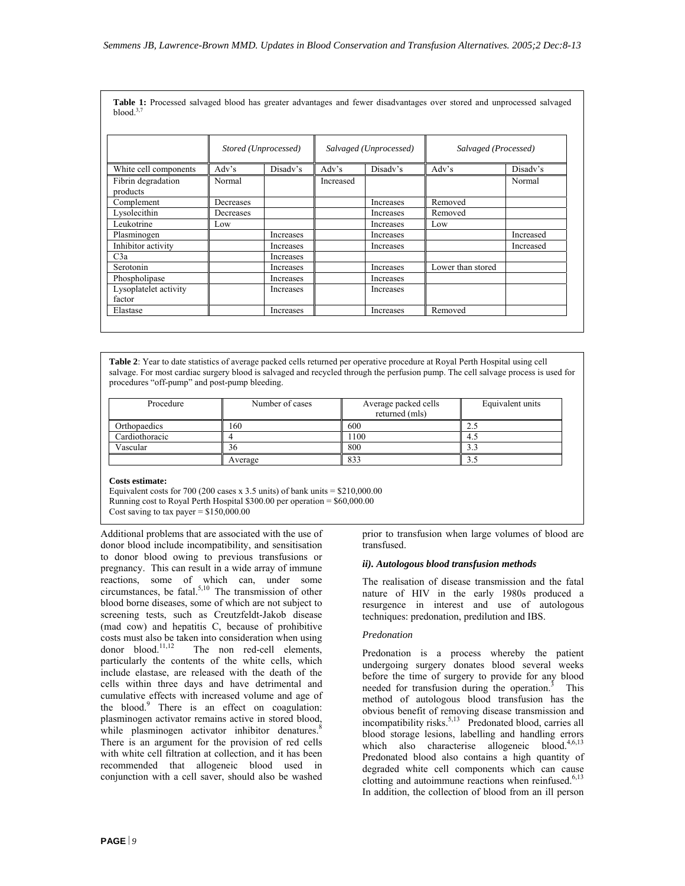**Table 1:** Processed salvaged blood has greater advantages and fewer disadvantages over stored and unprocessed salvaged blood.<sup>3</sup>

|                                 | Stored (Unprocessed) |           | Salvaged (Unprocessed) |                         | Salvaged (Processed) |           |
|---------------------------------|----------------------|-----------|------------------------|-------------------------|----------------------|-----------|
| White cell components           | Adv's                | Disady's  | Adv's                  | Disady's                | Adv's                | Disady's  |
| Fibrin degradation<br>products  | Normal               |           | Increased              |                         |                      | Normal    |
| Complement                      | Decreases            |           |                        | <i><u>Increases</u></i> | Removed              |           |
| Lysolecithin                    | Decreases            |           |                        | Increases               | Removed              |           |
| Leukotrine                      | Low                  |           |                        | Increases               | Low                  |           |
| Plasminogen                     |                      | Increases |                        | Increases               |                      | Increased |
| Inhibitor activity              |                      | Increases |                        | Increases               |                      | Increased |
| C3a                             |                      | Increases |                        |                         |                      |           |
| Serotonin                       |                      | Increases |                        | Increases               | Lower than stored    |           |
| Phospholipase                   |                      | Increases |                        | Increases               |                      |           |
| Lysoplatelet activity<br>factor |                      | Increases |                        | Increases               |                      |           |
| Elastase                        |                      | Increases |                        | Increases               | Removed              |           |

**Table 2**: Year to date statistics of average packed cells returned per operative procedure at Royal Perth Hospital using cell salvage. For most cardiac surgery blood is salvaged and recycled through the perfusion pump. The cell salvage process is used for procedures "off-pump" and post-pump bleeding.

| Procedure      | Number of cases | Average packed cells<br>returned (mls) | Equivalent units |
|----------------|-----------------|----------------------------------------|------------------|
| Orthopaedics   | 160             | 600                                    |                  |
| Cardiothoracic |                 | 100                                    | 4.5              |
| Vascular       | 36              | 800                                    | د. د             |
|                | Average         | 833                                    | J.J              |

#### **Costs estimate:**

Equivalent costs for 700 (200 cases x 3.5 units) of bank units  $= $210,000,00$ Running cost to Royal Perth Hospital \$300.00 per operation = \$60,000.00 Cost saving to tax payer =  $$150,000.00$ 

Additional problems that are associated with the use of donor blood include incompatibility, and sensitisation to donor blood owing to previous transfusions or pregnancy. This can result in a wide array of immune reactions, some of which can, under some circumstances, be fatal. $5,10$  The transmission of other blood borne diseases, some of which are not subject to screening tests, such as Creutzfeldt-Jakob disease (mad cow) and hepatitis C, because of prohibitive costs must also be taken into consideration when using donor blood.<sup>11,12</sup> The non red-cell elements, particularly the contents of the white cells, which include elastase, are released with the death of the cells within three days and have detrimental and cumulative effects with increased volume and age of the blood.<sup>9</sup> There is an effect on coagulation: plasminogen activator remains active in stored blood, while plasminogen activator inhibitor denatures.<sup>8</sup> There is an argument for the provision of red cells with white cell filtration at collection, and it has been recommended that allogeneic blood used in conjunction with a cell saver, should also be washed

prior to transfusion when large volumes of blood are transfused.

#### *ii). Autologous blood transfusion methods*

The realisation of disease transmission and the fatal nature of HIV in the early 1980s produced a resurgence in interest and use of autologous techniques: predonation, predilution and IBS.

#### *Predonation*

Predonation is a process whereby the patient undergoing surgery donates blood several weeks before the time of surgery to provide for any blood needed for transfusion during the operation. $3$  This method of autologous blood transfusion has the obvious benefit of removing disease transmission and incompatibility risks.<sup>5,13</sup> Predonated blood, carries all blood storage lesions, labelling and handling errors which also characterise allogeneic blood. $4,6,13$ Predonated blood also contains a high quantity of degraded white cell components which can cause clotting and autoimmune reactions when reinfused. $6,13$ In addition, the collection of blood from an ill person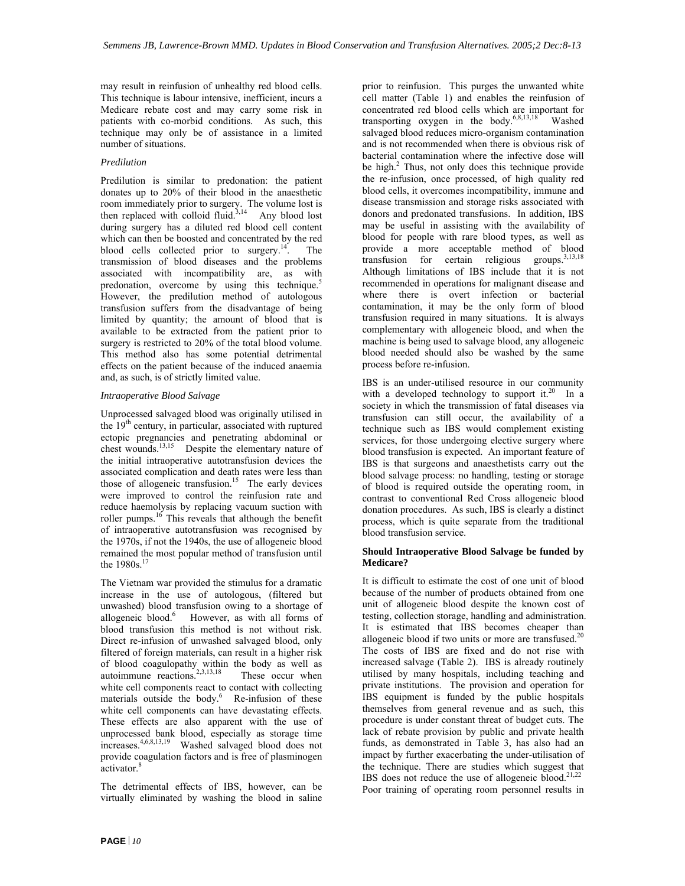may result in reinfusion of unhealthy red blood cells. This technique is labour intensive, inefficient, incurs a Medicare rebate cost and may carry some risk in patients with co-morbid conditions. As such, this technique may only be of assistance in a limited number of situations.

#### *Predilution*

Predilution is similar to predonation: the patient donates up to 20% of their blood in the anaesthetic room immediately prior to surgery. The volume lost is then replaced with colloid fluid.<sup>3,14</sup> Any blood lost during surgery has a diluted red blood cell content which can then be boosted and concentrated by the red blood cells collected prior to surgery.<sup>14</sup>. The transmission of blood diseases and the problems associated with incompatibility are, as with predonation, overcome by using this technique.<sup>5</sup> However, the predilution method of autologous transfusion suffers from the disadvantage of being limited by quantity; the amount of blood that is available to be extracted from the patient prior to surgery is restricted to 20% of the total blood volume. This method also has some potential detrimental effects on the patient because of the induced anaemia and, as such, is of strictly limited value.

#### *Intraoperative Blood Salvage*

Unprocessed salvaged blood was originally utilised in the  $19<sup>th</sup>$  century, in particular, associated with ruptured ectopic pregnancies and penetrating abdominal or chest wounds.<sup>13,15</sup> Despite the elementary nature of the initial intraoperative autotransfusion devices the associated complication and death rates were less than those of allogeneic transfusion.<sup>15</sup> The early devices were improved to control the reinfusion rate and reduce haemolysis by replacing vacuum suction with roller pumps. $16$  This reveals that although the benefit of intraoperative autotransfusion was recognised by the 1970s, if not the 1940s, the use of allogeneic blood remained the most popular method of transfusion until the  $1980s.$ <sup>17</sup>

The Vietnam war provided the stimulus for a dramatic increase in the use of autologous, (filtered but unwashed) blood transfusion owing to a shortage of allogeneic blood.<sup>6</sup> However, as with all forms of blood transfusion this method is not without risk. Direct re-infusion of unwashed salvaged blood, only filtered of foreign materials, can result in a higher risk of blood coagulopathy within the body as well as autoimmune reactions.<sup>2,3,13,18</sup> These occur when white cell components react to contact with collecting materials outside the body. $\stackrel{6}{ }$  Re-infusion of these white cell components can have devastating effects. These effects are also apparent with the use of unprocessed bank blood, especially as storage time increases.4,6,8,13,19 Washed salvaged blood does not provide coagulation factors and is free of plasminogen activator.<sup>8</sup>

The detrimental effects of IBS, however, can be virtually eliminated by washing the blood in saline

prior to reinfusion. This purges the unwanted white cell matter (Table 1) and enables the reinfusion of concentrated red blood cells which are important for transporting oxygen in the body.<sup>6,8,13,18</sup> Washed salvaged blood reduces micro-organism contamination and is not recommended when there is obvious risk of bacterial contamination where the infective dose will be high. $2$  Thus, not only does this technique provide the re-infusion, once processed, of high quality red blood cells, it overcomes incompatibility, immune and disease transmission and storage risks associated with donors and predonated transfusions. In addition, IBS may be useful in assisting with the availability of blood for people with rare blood types, as well as provide a more acceptable method of blood transfusion for certain religious groups.<sup>3,13,18</sup> Although limitations of IBS include that it is not recommended in operations for malignant disease and where there is overt infection or bacterial contamination, it may be the only form of blood transfusion required in many situations. It is always complementary with allogeneic blood, and when the machine is being used to salvage blood, any allogeneic blood needed should also be washed by the same process before re-infusion.

IBS is an under-utilised resource in our community with a developed technology to support it.<sup>20</sup> In a society in which the transmission of fatal diseases via transfusion can still occur, the availability of a technique such as IBS would complement existing services, for those undergoing elective surgery where blood transfusion is expected. An important feature of IBS is that surgeons and anaesthetists carry out the blood salvage process: no handling, testing or storage of blood is required outside the operating room, in contrast to conventional Red Cross allogeneic blood donation procedures. As such, IBS is clearly a distinct process, which is quite separate from the traditional blood transfusion service.

#### **Should Intraoperative Blood Salvage be funded by Medicare?**

It is difficult to estimate the cost of one unit of blood because of the number of products obtained from one unit of allogeneic blood despite the known cost of testing, collection storage, handling and administration. It is estimated that IBS becomes cheaper than allogeneic blood if two units or more are transfused.<sup>2</sup> The costs of IBS are fixed and do not rise with increased salvage (Table 2). IBS is already routinely utilised by many hospitals, including teaching and private institutions. The provision and operation for IBS equipment is funded by the public hospitals themselves from general revenue and as such, this procedure is under constant threat of budget cuts. The lack of rebate provision by public and private health funds, as demonstrated in Table 3, has also had an impact by further exacerbating the under-utilisation of the technique. There are studies which suggest that IBS does not reduce the use of allogeneic blood. $2^{1,22}$ Poor training of operating room personnel results in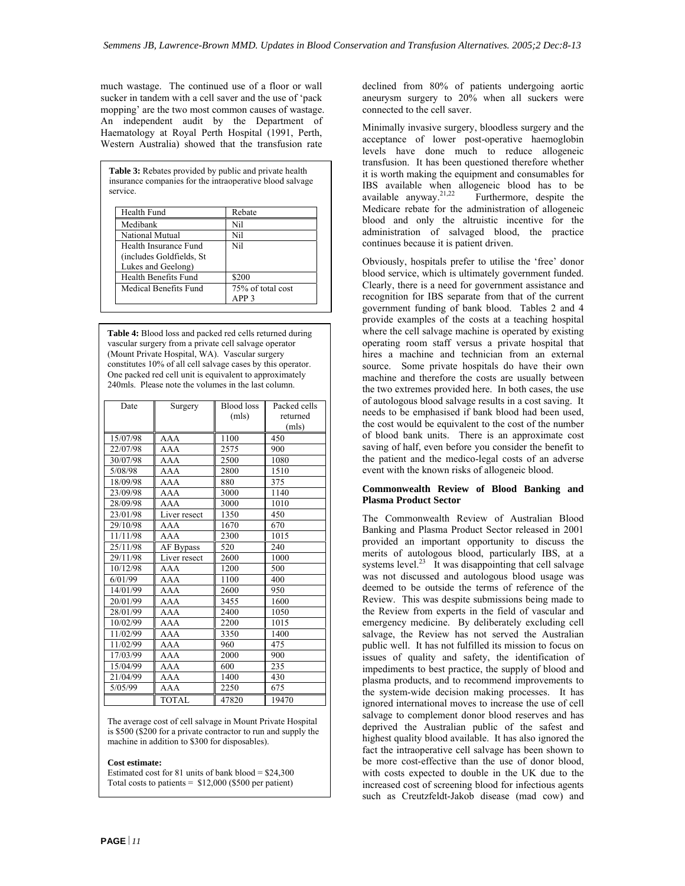much wastage. The continued use of a floor or wall sucker in tandem with a cell saver and the use of 'pack mopping' are the two most common causes of wastage. An independent audit by the Department of Haematology at Royal Perth Hospital (1991, Perth, Western Australia) showed that the transfusion rate

**Table 3:** Rebates provided by public and private health insurance companies for the intraoperative blood salvage service.

| Health Fund                                                              | Rebate                                |
|--------------------------------------------------------------------------|---------------------------------------|
| Medibank                                                                 | Nil                                   |
| National Mutual                                                          | Nil                                   |
| Health Insurance Fund<br>(includes Goldfields, St.<br>Lukes and Geelong) | Nil                                   |
| Health Benefits Fund                                                     | \$200                                 |
| Medical Benefits Fund                                                    | 75% of total cost<br>APP <sub>3</sub> |

**Table 4:** Blood loss and packed red cells returned during vascular surgery from a private cell salvage operator (Mount Private Hospital, WA). Vascular surgery constitutes 10% of all cell salvage cases by this operator. One packed red cell unit is equivalent to approximately 240mls. Please note the volumes in the last column.

| Date     | Surgery      | Blood loss | Packed cells |
|----------|--------------|------------|--------------|
|          |              | (mls)      | returned     |
|          |              |            | (mls)        |
| 15/07/98 | AAA          | 1100       | 450          |
| 22/07/98 | AAA          | 2575       | 900          |
| 30/07/98 | AAA          | 2500       | 1080         |
| 5/08/98  | AAA          | 2800       | 1510         |
| 18/09/98 | AAA          | 880        | 375          |
| 23/09/98 | AAA          | 3000       | 1140         |
| 28/09/98 | AAA          | 3000       | 1010         |
| 23/01/98 | Liver resect | 1350       | 450          |
| 29/10/98 | AAA          | 1670       | 670          |
| 11/11/98 | AAA          | 2300       | 1015         |
| 25/11/98 | AF Bypass    | 520        | 240          |
| 29/11/98 | Liver resect | 2600       | 1000         |
| 10/12/98 | AAA          | 1200       | 500          |
| 6/01/99  | AAA          | 1100       | 400          |
| 14/01/99 | AAA          | 2600       | 950          |
| 20/01/99 | AAA          | 3455       | 1600         |
| 28/01/99 | AAA          | 2400       | 1050         |
| 10/02/99 | AAA          | 2200       | 1015         |
| 11/02/99 | AAA          | 3350       | 1400         |
| 11/02/99 | AAA          | 960        | 475          |
| 17/03/99 | AAA          | 2000       | 900          |
| 15/04/99 | AAA          | 600        | 235          |
| 21/04/99 | AAA          | 1400       | 430          |
| 5/05/99  | AAA          | 2250       | 675          |
|          | TOTAL        | 47820      | 19470        |

The average cost of cell salvage in Mount Private Hospital is \$500 (\$200 for a private contractor to run and supply the machine in addition to \$300 for disposables).

#### **Cost estimate:**

Estimated cost for 81 units of bank blood =  $$24,300$ Total costs to patients  $=$  \$12,000 (\$500 per patient) declined from 80% of patients undergoing aortic aneurysm surgery to 20% when all suckers were connected to the cell saver.

Minimally invasive surgery, bloodless surgery and the acceptance of lower post-operative haemoglobin levels have done much to reduce allogeneic transfusion. It has been questioned therefore whether it is worth making the equipment and consumables for IBS available when allogeneic blood has to be available anyway.<sup>21,22</sup> Furthermore, despite the Furthermore, despite the Medicare rebate for the administration of allogeneic blood and only the altruistic incentive for the administration of salvaged blood, the practice continues because it is patient driven.

Obviously, hospitals prefer to utilise the 'free' donor blood service, which is ultimately government funded. Clearly, there is a need for government assistance and recognition for IBS separate from that of the current government funding of bank blood. Tables 2 and 4 provide examples of the costs at a teaching hospital where the cell salvage machine is operated by existing operating room staff versus a private hospital that hires a machine and technician from an external source. Some private hospitals do have their own machine and therefore the costs are usually between the two extremes provided here. In both cases, the use of autologous blood salvage results in a cost saving. It needs to be emphasised if bank blood had been used, the cost would be equivalent to the cost of the number of blood bank units. There is an approximate cost saving of half, even before you consider the benefit to the patient and the medico-legal costs of an adverse event with the known risks of allogeneic blood.

#### **Commonwealth Review of Blood Banking and Plasma Product Sector**

The Commonwealth Review of Australian Blood Banking and Plasma Product Sector released in 2001 provided an important opportunity to discuss the merits of autologous blood, particularly IBS, at a systems level.<sup>23</sup> It was disappointing that cell salvage was not discussed and autologous blood usage was deemed to be outside the terms of reference of the Review. This was despite submissions being made to the Review from experts in the field of vascular and emergency medicine. By deliberately excluding cell salvage, the Review has not served the Australian public well. It has not fulfilled its mission to focus on issues of quality and safety, the identification of impediments to best practice, the supply of blood and plasma products, and to recommend improvements to the system-wide decision making processes. It has ignored international moves to increase the use of cell salvage to complement donor blood reserves and has deprived the Australian public of the safest and highest quality blood available. It has also ignored the fact the intraoperative cell salvage has been shown to be more cost-effective than the use of donor blood, with costs expected to double in the UK due to the increased cost of screening blood for infectious agents such as Creutzfeldt-Jakob disease (mad cow) and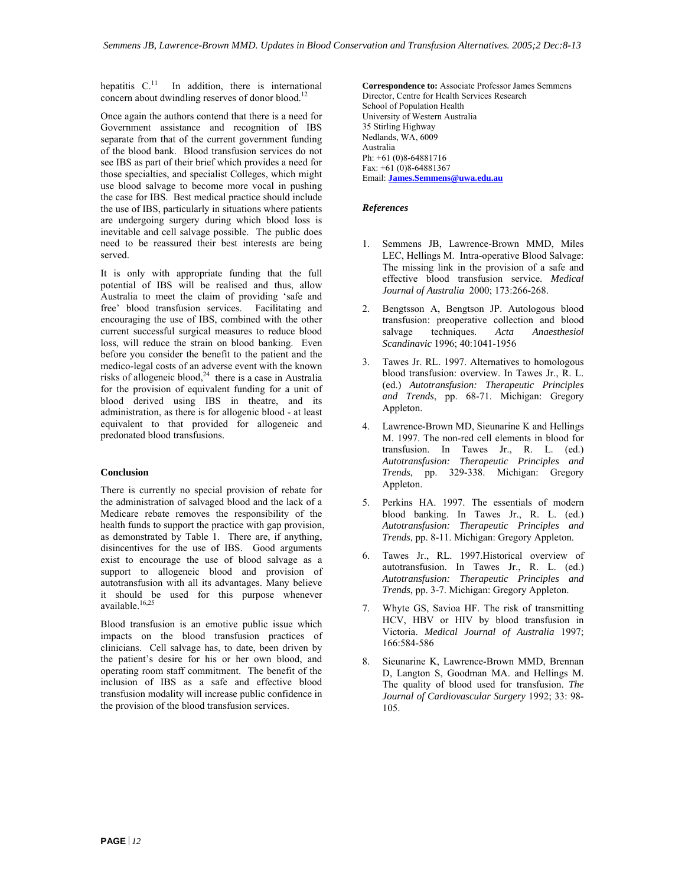hepatitis  $C<sup>11</sup>$  In addition, there is international concern about dwindling reserves of donor blood.<sup>12</sup>

Once again the authors contend that there is a need for Government assistance and recognition of IBS separate from that of the current government funding of the blood bank. Blood transfusion services do not see IBS as part of their brief which provides a need for those specialties, and specialist Colleges, which might use blood salvage to become more vocal in pushing the case for IBS. Best medical practice should include the use of IBS, particularly in situations where patients are undergoing surgery during which blood loss is inevitable and cell salvage possible. The public does need to be reassured their best interests are being served.

It is only with appropriate funding that the full potential of IBS will be realised and thus, allow Australia to meet the claim of providing 'safe and free' blood transfusion services. Facilitating and encouraging the use of IBS, combined with the other current successful surgical measures to reduce blood loss, will reduce the strain on blood banking. Even before you consider the benefit to the patient and the medico-legal costs of an adverse event with the known risks of allogeneic blood, $24$  there is a case in Australia for the provision of equivalent funding for a unit of blood derived using IBS in theatre, and its administration, as there is for allogenic blood - at least equivalent to that provided for allogeneic and predonated blood transfusions.

#### **Conclusion**

There is currently no special provision of rebate for the administration of salvaged blood and the lack of a Medicare rebate removes the responsibility of the health funds to support the practice with gap provision, as demonstrated by Table 1. There are, if anything, disincentives for the use of IBS. Good arguments exist to encourage the use of blood salvage as a support to allogeneic blood and provision of autotransfusion with all its advantages. Many believe it should be used for this purpose whenever available.<sup>16,25</sup>

Blood transfusion is an emotive public issue which impacts on the blood transfusion practices of clinicians. Cell salvage has, to date, been driven by the patient's desire for his or her own blood, and operating room staff commitment. The benefit of the inclusion of IBS as a safe and effective blood transfusion modality will increase public confidence in the provision of the blood transfusion services.

**Correspondence to:** Associate Professor James Semmens Director, Centre for Health Services Research School of Population Health University of Western Australia 35 Stirling Highway Nedlands, WA, 6009 Australia Ph: +61 (0)8-64881716 Fax: +61 (0)8-64881367 Email: **[James.Semmens@uwa.edu.au](mailto:JaJames.Semmens@uwa.edu.au)**

#### *References*

- 1. Semmens JB, Lawrence-Brown MMD, Miles LEC, Hellings M. Intra-operative Blood Salvage: The missing link in the provision of a safe and effective blood transfusion service. *Medical Journal of Australia* 2000; 173:266-268.
- 2. Bengtsson A, Bengtson JP. Autologous blood transfusion: preoperative collection and blood<br>salvage techniques. Acta Anaesthesiol salvage techniques. *Acta Anaesthesiol Scandinavic* 1996; 40:1041-1956
- 3. Tawes Jr. RL. 1997. Alternatives to homologous blood transfusion: overview. In Tawes Jr., R. L. (ed.) *Autotransfusion: Therapeutic Principles and Trends*, pp. 68-71. Michigan: Gregory Appleton.
- 4. Lawrence-Brown MD, Sieunarine K and Hellings M. 1997. The non-red cell elements in blood for transfusion. In Tawes Jr., R. L. (ed.) *Autotransfusion: Therapeutic Principles and Trends*, pp. 329-338. Michigan: Gregory Appleton.
- 5. Perkins HA. 1997. The essentials of modern blood banking. In Tawes Jr., R. L. (ed.) *Autotransfusion: Therapeutic Principles and Trends*, pp. 8-11. Michigan: Gregory Appleton.
- 6. Tawes Jr., RL. 1997.Historical overview of autotransfusion. In Tawes Jr., R. L. (ed.) *Autotransfusion: Therapeutic Principles and Trends*, pp. 3-7. Michigan: Gregory Appleton.
- 7. Whyte GS, Savioa HF. The risk of transmitting HCV, HBV or HIV by blood transfusion in Victoria. *Medical Journal of Australia* 1997; 166:584-586
- 8. Sieunarine K, Lawrence-Brown MMD, Brennan D, Langton S, Goodman MA. and Hellings M. The quality of blood used for transfusion. *The Journal of Cardiovascular Surgery* 1992; 33: 98- 105.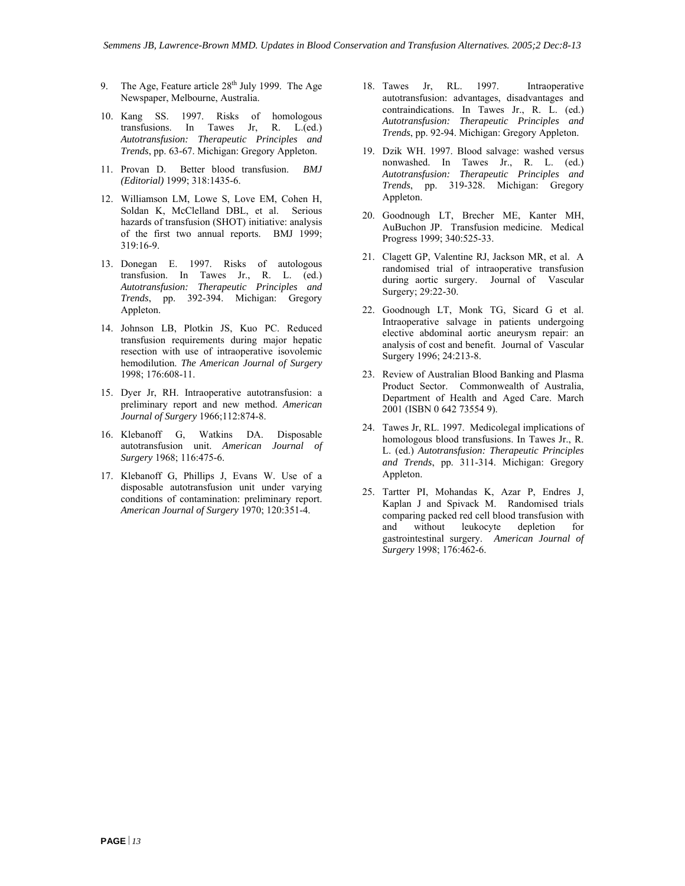- 9. The Age, Feature article  $28<sup>th</sup>$  July 1999. The Age Newspaper, Melbourne, Australia.
- 10. Kang SS. 1997. Risks of homologous transfusions. In Tawes Jr, R. L.(ed.) *Autotransfusion: Therapeutic Principles and*
- 11. Provan D. Better blood transfusion. *BMJ (Editorial)* 1999; 318:1435-6.
- 12. Williamson LM, Lowe S, Love EM, Cohen H, Soldan K, McClelland DBL, et al. Serious hazards of transfusion (SHOT) initiative: analysis of the first two annual reports. BMJ 1999; 319:16-9.
- 13. Donegan E. 1997. Risks of autologous transfusion. In Tawes Jr., R. L. (ed.) *Autotransfusion: Therapeutic Principles and Trends*, pp. 392-394. Michigan: Gregory Appleton. 22. Goodnough LT, Monk TG, Sicard G et al.
- 14. Johnson LB, Plotkin JS, Kuo PC. Reduced transfusion requirements during major hepatic resection with use of intraoperative isovolemic hemodilution. *The American Journal of Surgery*
- 15. Dyer Jr, RH. Intraoperative autotransfusion: a preliminary report and new method. *American Journal of Surgery* 1966;112:874-8.
- 16. Klebanoff G, Watkins DA. Disposable autotransfusion unit. *American Journal of Surgery* 1968; 116:475-6.
- 17. Klebanoff G, Phillips J, Evans W. Use of a disposable autotransfusion unit under varying conditions of contamination: preliminary report. *American Journal of Surgery* 1970; 120:351-4.
- 18. Tawes Jr, RL. 1997. Intraoperative autotransfusion: advantages, disadvantages and contraindications. In Tawes Jr., R. L. (ed.) *Autotransfusion: Therapeutic Principles and Trends*, pp. 92-94. Michigan: Gregory Appleton.
- *Trends*, pp. 63-67. Michigan: Gregory Appleton. 19. Dzik WH. 1997. Blood salvage: washed versus nonwashed. In Tawes Jr., R. L. (ed.) *Autotransfusion: Therapeutic Principles and Trends*, pp. 319-328. Michigan: Gregory Appleton.
	- 20. Goodnough LT, Brecher ME, Kanter MH, AuBuchon JP. Transfusion medicine. Medical Progress 1999; 340:525-33.
	- 21. Clagett GP, Valentine RJ, Jackson MR, et al. A randomised trial of intraoperative transfusion during aortic surgery. Journal of Vascular Surgery; 29:22-30.
	- Intraoperative salvage in patients undergoing elective abdominal aortic aneurysm repair: an analysis of cost and benefit. Journal of Vascular Surgery 1996; 24:213-8.
- 1998; 176:608-11. 23. Review of Australian Blood Banking and Plasma Product Sector. Commonwealth of Australia, Department of Health and Aged Care. March 2001 (ISBN 0 642 73554 9).
	- 24. Tawes Jr, RL. 1997. Medicolegal implications of homologous blood transfusions. In Tawes Jr., R. L. (ed.) *Autotransfusion: Therapeutic Principles and Trends*, pp. 311-314. Michigan: Gregory Appleton.
	- 25. Tartter PI, Mohandas K, Azar P, Endres J, Kaplan J and Spivack M. Randomised trials comparing packed red cell blood transfusion with and without leukocyte depletion for gastrointestinal surgery. *American Journal of Surgery* 1998; 176:462-6.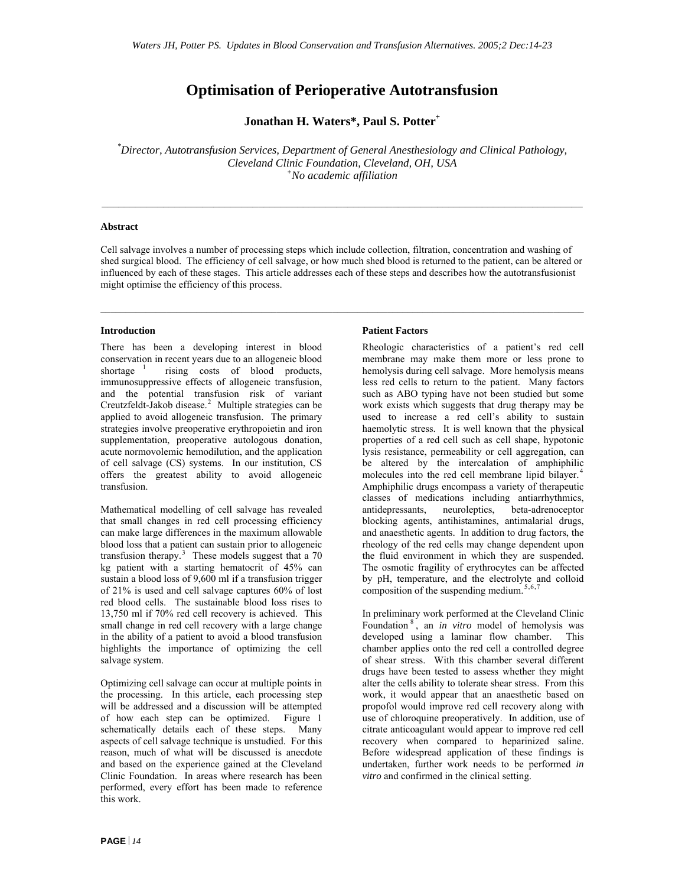### **Optimisation of Perioperative Autotransfusion**

Jonathan H. Waters\*, Paul S. Potter<sup>+</sup>

*\* Director, Autotransfusion Services, Department of General Anesthesiology and Clinical Pathology, Cleveland Clinic Foundation, Cleveland, OH, USA + No academic affiliation* 

#### **Abstract**

Cell salvage involves a number of processing steps which include collection, filtration, concentration and washing of shed surgical blood. The efficiency of cell salvage, or how much shed blood is returned to the patient, can be altered or influenced by each of these stages. This article addresses each of these steps and describes how the autotransfusionist might optimise the efficiency of this process.

#### **Introduction**

There has been a developing interest in blood conservation in recent years due to an allogeneic blood<br>shortage  $\frac{1}{1}$  rising costs of blood products, rising costs of blood products, immunosuppressive effects of allogeneic transfusion, and the potential transfusion risk of variant Creutzfeldt-Jakob disease. $2$  Multiple strategies can be applied to avoid allogeneic transfusion. The primary strategies involve preoperative erythropoietin and iron supplementation, preoperative autologous donation, acute normovolemic hemodilution, and the application of cell salvage (CS) systems. In our institution, CS offers the greatest ability to avoid allogeneic transfusion.

Mathematical modelling of cell salvage has revealed that small changes in red cell processing efficiency can make large differences in the maximum allowable blood loss that a patient can sustain prior to allogeneic transfusion therapy.<sup>[3](#page-31-3)</sup> These models suggest that a  $70$ kg patient with a starting hematocrit of 45% can sustain a blood loss of 9,600 ml if a transfusion trigger of 21% is used and cell salvage captures 60% of lost red blood cells. The sustainable blood loss rises to 13,750 ml if 70% red cell recovery is achieved. This small change in red cell recovery with a large change in the ability of a patient to avoid a blood transfusion highlights the importance of optimizing the cell salvage system.

Optimizing cell salvage can occur at multiple points in the processing. In this article, each processing step will be addressed and a discussion will be attempted of how each step can be optimized. Figure 1 schematically details each of these steps. Many aspects of cell salvage technique is unstudied. For this reason, much of what will be discussed is anecdote and based on the experience gained at the Cleveland Clinic Foundation. In areas where research has been performed, every effort has been made to reference this work.

#### **Patient Factors**

Rheologic characteristics of a patient's red cell membrane may make them more or less prone to hemolysis during cell salvage. More hemolysis means less red cells to return to the patient. Many factors such as ABO typing have not been studied but some work exists which suggests that drug therapy may be used to increase a red cell's ability to sustain haemolytic stress. It is well known that the physical properties of a red cell such as cell shape, hypotonic lysis resistance, permeability or cell aggregation, can be altered by the intercalation of amphiphilic molecules into the red cell membrane lipid bilayer.<sup>[4](#page-31-3)</sup> Amphiphilic drugs encompass a variety of therapeutic classes of medications including antiarrhythmics, antidepressants, neuroleptics, beta-adrenoceptor blocking agents, antihistamines, antimalarial drugs, and anaesthetic agents. In addition to drug factors, the rheology of the red cells may change dependent upon the fluid environment in which they are suspended. The osmotic fragility of erythrocytes can be affected by pH, temperature, and the electrolyte and colloid composition of the suspending medium.<sup>[5](#page-31-3),6,[7](#page-31-3)</sup>

In preliminary work performed at the Cleveland Clinic Foundation [8](#page-31-3) , an *in vitro* model of hemolysis was developed using a laminar flow chamber. This chamber applies onto the red cell a controlled degree of shear stress. With this chamber several different drugs have been tested to assess whether they might alter the cells ability to tolerate shear stress. From this work, it would appear that an anaesthetic based on propofol would improve red cell recovery along with use of chloroquine preoperatively. In addition, use of citrate anticoagulant would appear to improve red cell recovery when compared to heparinized saline. Before widespread application of these findings is undertaken, further work needs to be performed *in vitro* and confirmed in the clinical setting.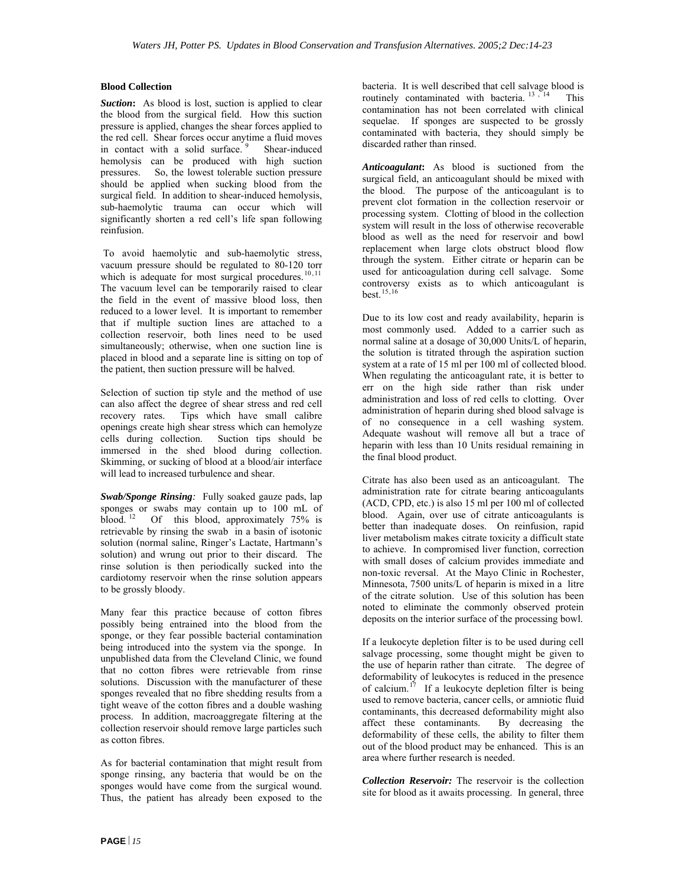#### **Blood Collection**

**Suction:** As blood is lost, suction is applied to clear the blood from the surgical field. How this suction pressure is applied, changes the shear forces applied to the red cell. Shear forces occur anytime a fluid moves<br>in contact with a solid surface.  $\frac{9}{2}$  Shear-induced in contact with a solid surface.  $9$ hemolysis can be produced with high suction<br>pressures. So, the lowest tolerable suction pressure So, the lowest tolerable suction pressure should be applied when sucking blood from the surgical field. In addition to shear-induced hemolysis, sub-haemolytic trauma can occur which will significantly shorten a red cell's life span following reinfusion.

 To avoid haemolytic and sub-haemolytic stress, vacuum pressure should be regulated to 80-120 torr which is adequate for most surgical procedures.  $10, 11$  $10, 11$  $10, 11$ The vacuum level can be temporarily raised to clear the field in the event of massive blood loss, then reduced to a lower level. It is important to remember that if multiple suction lines are attached to a collection reservoir, both lines need to be used simultaneously; otherwise, when one suction line is placed in blood and a separate line is sitting on top of the patient, then suction pressure will be halved.

Selection of suction tip style and the method of use can also affect the degree of shear stress and red cell recovery rates. Tips which have small calibre openings create high shear stress which can hemolyze cells during collection. Suction tips should be immersed in the shed blood during collection. Skimming, or sucking of blood at a blood/air interface will lead to increased turbulence and shear.

*Swab/Sponge Rinsing:* Fully soaked gauze pads, lap sponges or swabs may contain up to 100 mL of blood.  $12$  Of this blood, approximately 75% is retrievable by rinsing the swab in a basin of isotonic solution (normal saline, Ringer's Lactate, Hartmann's solution) and wrung out prior to their discard. The rinse solution is then periodically sucked into the cardiotomy reservoir when the rinse solution appears to be grossly bloody.

Many fear this practice because of cotton fibres possibly being entrained into the blood from the sponge, or they fear possible bacterial contamination being introduced into the system via the sponge. In unpublished data from the Cleveland Clinic, we found that no cotton fibres were retrievable from rinse solutions. Discussion with the manufacturer of these sponges revealed that no fibre shedding results from a tight weave of the cotton fibres and a double washing process. In addition, macroaggregate filtering at the collection reservoir should remove large particles such as cotton fibres.

As for bacterial contamination that might result from sponge rinsing, any bacteria that would be on the sponges would have come from the surgical wound. Thus, the patient has already been exposed to the

bacteria. It is well described that cell salvage blood is routinely contaminated with bacteria.  $13 \times 14$  $13 \times 14$  $13 \times 14$  This contamination has not been correlated with clinical sequelae. If sponges are suspected to be grossly contaminated with bacteria, they should simply be discarded rather than rinsed.

*Anticoagulant***:** As blood is suctioned from the surgical field, an anticoagulant should be mixed with the blood. The purpose of the anticoagulant is to prevent clot formation in the collection reservoir or processing system. Clotting of blood in the collection system will result in the loss of otherwise recoverable blood as well as the need for reservoir and bowl replacement when large clots obstruct blood flow through the system. Either citrate or heparin can be used for anticoagulation during cell salvage. Some controversy exists as to which anticoagulant is best.[15](#page-31-3),[16](#page-31-3)

Due to its low cost and ready availability, heparin is most commonly used. Added to a carrier such as normal saline at a dosage of 30,000 Units/L of heparin, the solution is titrated through the aspiration suction system at a rate of 15 ml per 100 ml of collected blood. When regulating the anticoagulant rate, it is better to err on the high side rather than risk under administration and loss of red cells to clotting. Over administration of heparin during shed blood salvage is of no consequence in a cell washing system. Adequate washout will remove all but a trace of heparin with less than 10 Units residual remaining in the final blood product.

Citrate has also been used as an anticoagulant. The administration rate for citrate bearing anticoagulants (ACD, CPD, etc.) is also 15 ml per 100 ml of collected blood. Again, over use of citrate anticoagulants is better than inadequate doses. On reinfusion, rapid liver metabolism makes citrate toxicity a difficult state to achieve. In compromised liver function, correction with small doses of calcium provides immediate and non-toxic reversal. At the Mayo Clinic in Rochester, Minnesota, 7500 units/L of heparin is mixed in a litre of the citrate solution. Use of this solution has been noted to eliminate the commonly observed protein deposits on the interior surface of the processing bowl.

If a leukocyte depletion filter is to be used during cell salvage processing, some thought might be given to the use of heparin rather than citrate. The degree of deformability of leukocytes is reduced in the presence of calcium.<sup>[17](#page-31-3)</sup> If a leukocyte depletion filter is being used to remove bacteria, cancer cells, or amniotic fluid contaminants, this decreased deformability might also affect these contaminants. By decreasing the deformability of these cells, the ability to filter them out of the blood product may be enhanced. This is an area where further research is needed.

*Collection Reservoir:* The reservoir is the collection site for blood as it awaits processing. In general, three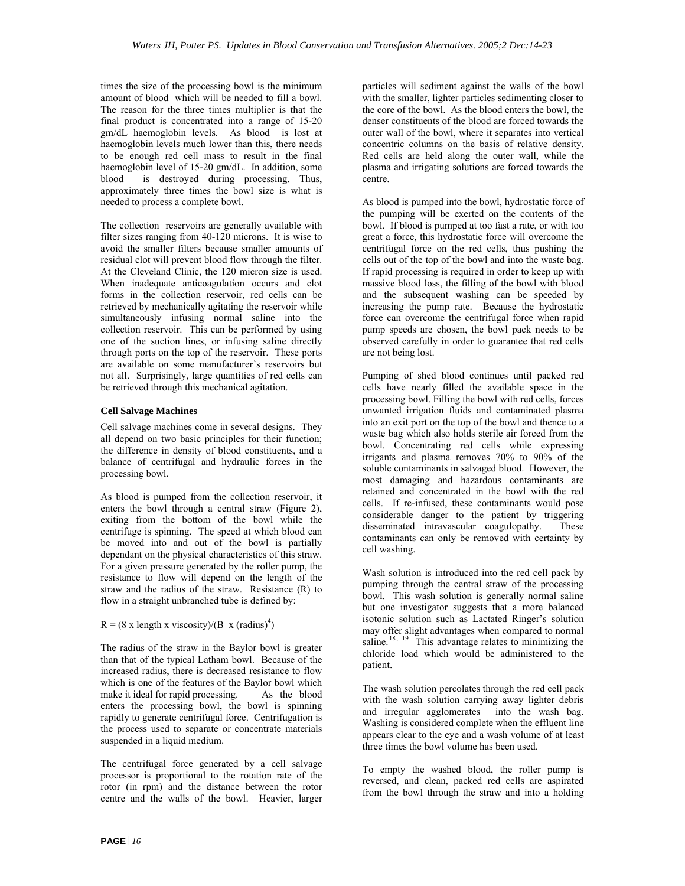times the size of the processing bowl is the minimum amount of blood which will be needed to fill a bowl. The reason for the three times multiplier is that the final product is concentrated into a range of 15-20 gm/dL haemoglobin levels. As blood is lost at haemoglobin levels much lower than this, there needs to be enough red cell mass to result in the final haemoglobin level of 15-20 gm/dL. In addition, some blood is destroyed during processing. Thus, approximately three times the bowl size is what is needed to process a complete bowl.

The collection reservoirs are generally available with filter sizes ranging from 40-120 microns. It is wise to avoid the smaller filters because smaller amounts of residual clot will prevent blood flow through the filter. At the Cleveland Clinic, the 120 micron size is used. When inadequate anticoagulation occurs and clot forms in the collection reservoir, red cells can be retrieved by mechanically agitating the reservoir while simultaneously infusing normal saline into the collection reservoir. This can be performed by using one of the suction lines, or infusing saline directly through ports on the top of the reservoir. These ports are available on some manufacturer's reservoirs but not all. Surprisingly, large quantities of red cells can be retrieved through this mechanical agitation.

#### **Cell Salvage Machines**

Cell salvage machines come in several designs. They all depend on two basic principles for their function; the difference in density of blood constituents, and a balance of centrifugal and hydraulic forces in the processing bowl.

As blood is pumped from the collection reservoir, it enters the bowl through a central straw (Figure 2), exiting from the bottom of the bowl while the centrifuge is spinning. The speed at which blood can be moved into and out of the bowl is partially dependant on the physical characteristics of this straw. For a given pressure generated by the roller pump, the resistance to flow will depend on the length of the straw and the radius of the straw. Resistance (R) to flow in a straight unbranched tube is defined by:

#### $R = (8 \times \text{length} \times \text{viscosity})/(B \times (\text{radius})^4)$

The radius of the straw in the Baylor bowl is greater than that of the typical Latham bowl. Because of the increased radius, there is decreased resistance to flow which is one of the features of the Baylor bowl which<br>make it ideal for rapid processing. As the blood make it ideal for rapid processing. enters the processing bowl, the bowl is spinning rapidly to generate centrifugal force. Centrifugation is the process used to separate or concentrate materials suspended in a liquid medium.

The centrifugal force generated by a cell salvage processor is proportional to the rotation rate of the rotor (in rpm) and the distance between the rotor centre and the walls of the bowl. Heavier, larger

particles will sediment against the walls of the bowl with the smaller, lighter particles sedimenting closer to the core of the bowl. As the blood enters the bowl, the denser constituents of the blood are forced towards the outer wall of the bowl, where it separates into vertical concentric columns on the basis of relative density. Red cells are held along the outer wall, while the plasma and irrigating solutions are forced towards the centre.

As blood is pumped into the bowl, hydrostatic force of the pumping will be exerted on the contents of the bowl. If blood is pumped at too fast a rate, or with too great a force, this hydrostatic force will overcome the centrifugal force on the red cells, thus pushing the cells out of the top of the bowl and into the waste bag. If rapid processing is required in order to keep up with massive blood loss, the filling of the bowl with blood and the subsequent washing can be speeded by increasing the pump rate. Because the hydrostatic force can overcome the centrifugal force when rapid pump speeds are chosen, the bowl pack needs to be observed carefully in order to guarantee that red cells are not being lost.

Pumping of shed blood continues until packed red cells have nearly filled the available space in the processing bowl. Filling the bowl with red cells, forces unwanted irrigation fluids and contaminated plasma into an exit port on the top of the bowl and thence to a waste bag which also holds sterile air forced from the bowl. Concentrating red cells while expressing irrigants and plasma removes 70% to 90% of the soluble contaminants in salvaged blood. However, the most damaging and hazardous contaminants are retained and concentrated in the bowl with the red cells. If re-infused, these contaminants would pose considerable danger to the patient by triggering disseminated intravascular coagulopathy. These contaminants can only be removed with certainty by cell washing.

Wash solution is introduced into the red cell pack by pumping through the central straw of the processing bowl. This wash solution is generally normal saline but one investigator suggests that a more balanced isotonic solution such as Lactated Ringer's solution may offer slight advantages when compared to normal saline.<sup>[18](#page-31-3), [19](#page-31-3)</sup> This advantage relates to minimizing the chloride load which would be administered to the patient.

The wash solution percolates through the red cell pack with the wash solution carrying away lighter debris and irregular agglomerates into the wash bag. Washing is considered complete when the effluent line appears clear to the eye and a wash volume of at least three times the bowl volume has been used.

To empty the washed blood, the roller pump is reversed, and clean, packed red cells are aspirated from the bowl through the straw and into a holding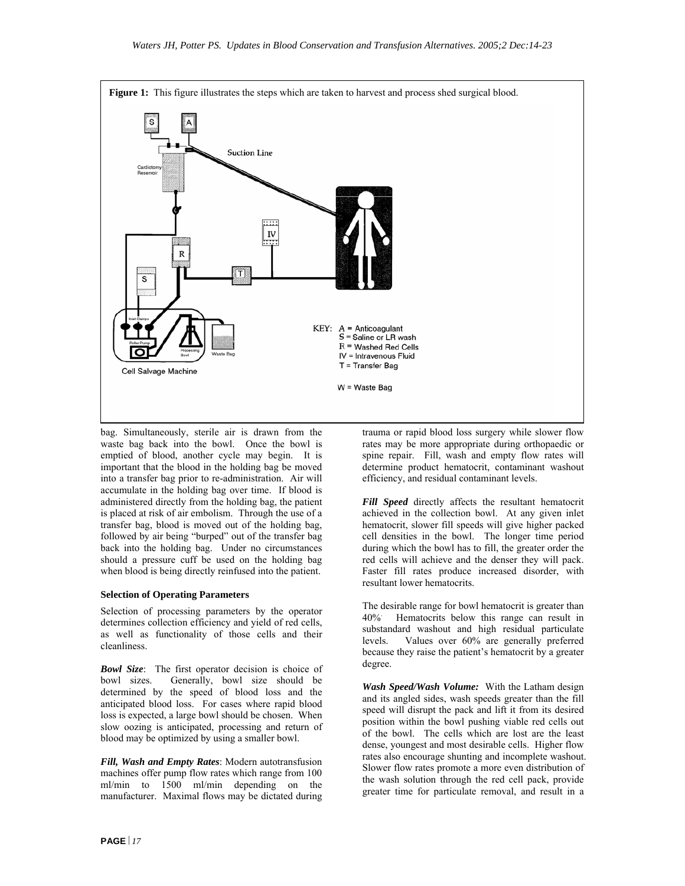

bag. Simultaneously, sterile air is drawn from the waste bag back into the bowl. Once the bowl is emptied of blood, another cycle may begin. It is important that the blood in the holding bag be moved into a transfer bag prior to re-administration. Air will accumulate in the holding bag over time. If blood is administered directly from the holding bag, the patient is placed at risk of air embolism. Through the use of a transfer bag, blood is moved out of the holding bag, followed by air being "burped" out of the transfer bag back into the holding bag. Under no circumstances should a pressure cuff be used on the holding bag when blood is being directly reinfused into the patient.

#### **Selection of Operating Parameters**

Selection of processing parameters by the operator determines collection efficiency and yield of red cells, as well as functionality of those cells and their cleanliness.

*Bowl Size*: The first operator decision is choice of bowl sizes. Generally, bowl size should be determined by the speed of blood loss and the anticipated blood loss. For cases where rapid blood loss is expected, a large bowl should be chosen. When slow oozing is anticipated, processing and return of blood may be optimized by using a smaller bowl.

*Fill, Wash and Empty Rates*: Modern autotransfusion machines offer pump flow rates which range from 100 ml/min to 1500 ml/min depending on the manufacturer. Maximal flows may be dictated during

trauma or rapid blood loss surgery while slower flow rates may be more appropriate during orthopaedic or spine repair. Fill, wash and empty flow rates will determine product hematocrit, contaminant washout efficiency, and residual contaminant levels.

*Fill Speed* directly affects the resultant hematocrit achieved in the collection bowl. At any given inlet hematocrit, slower fill speeds will give higher packed cell densities in the bowl. The longer time period during which the bowl has to fill, the greater order the red cells will achieve and the denser they will pack. Faster fill rates produce increased disorder, with resultant lower hematocrits.

The desirable range for bowl hematocrit is greater than 40%. Hematocrits below this range can result in substandard washout and high residual particulate levels. Values over 60% are generally preferred because they raise the patient's hematocrit by a greater degree.

*Wash Speed/Wash Volume:* With the Latham design and its angled sides, wash speeds greater than the fill speed will disrupt the pack and lift it from its desired position within the bowl pushing viable red cells out of the bowl. The cells which are lost are the least dense, youngest and most desirable cells. Higher flow rates also encourage shunting and incomplete washout. Slower flow rates promote a more even distribution of the wash solution through the red cell pack, provide greater time for particulate removal, and result in a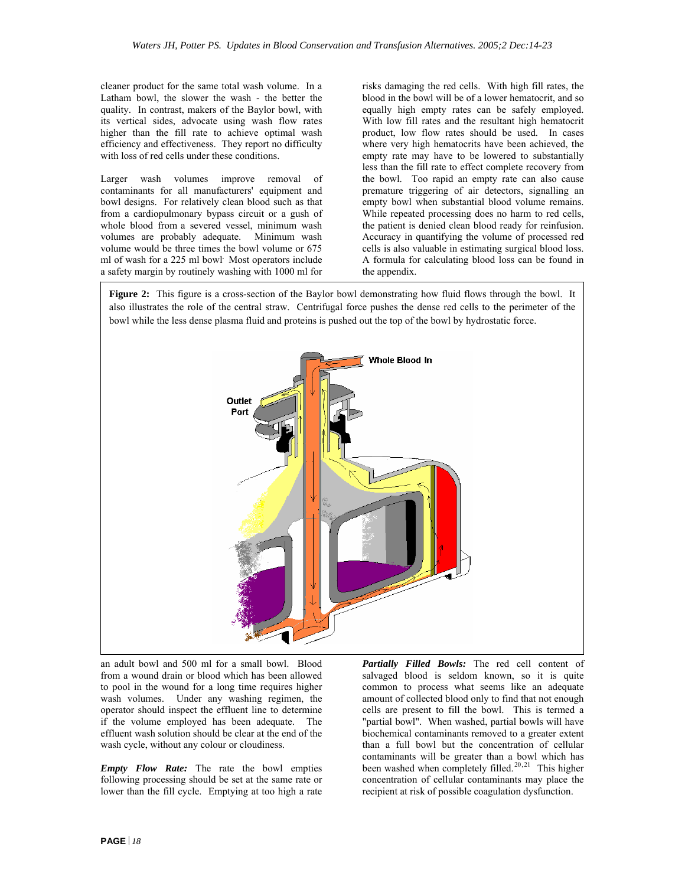cleaner product for the same total wash volume. In a Latham bowl, the slower the wash - the better the quality. In contrast, makers of the Baylor bowl, with its vertical sides, advocate using wash flow rates higher than the fill rate to achieve optimal wash efficiency and effectiveness. They report no difficulty with loss of red cells under these conditions.

Larger wash volumes improve removal of contaminants for all manufacturers' equipment and bowl designs. For relatively clean blood such as that from a cardiopulmonary bypass circuit or a gush of whole blood from a severed vessel, minimum wash volumes are probably adequate. Minimum wash volume would be three times the bowl volume or 675 ml of wash for a 225 ml bowl*.* Most operators include a safety margin by routinely washing with 1000 ml for risks damaging the red cells. With high fill rates, the blood in the bowl will be of a lower hematocrit, and so equally high empty rates can be safely employed. With low fill rates and the resultant high hematocrit product, low flow rates should be used. In cases where very high hematocrits have been achieved, the empty rate may have to be lowered to substantially less than the fill rate to effect complete recovery from the bowl. Too rapid an empty rate can also cause premature triggering of air detectors, signalling an empty bowl when substantial blood volume remains. While repeated processing does no harm to red cells, the patient is denied clean blood ready for reinfusion. Accuracy in quantifying the volume of processed red cells is also valuable in estimating surgical blood loss. A formula for calculating blood loss can be found in the appendix.

**Figure 2:** This figure is a cross-section of the Baylor bowl demonstrating how fluid flows through the bowl. It also illustrates the role of the central straw. Centrifugal force pushes the dense red cells to the perimeter of the bowl while the less dense plasma fluid and proteins is pushed out the top of the bowl by hydrostatic force.



an adult bowl and 500 ml for a small bowl. Blood from a wound drain or blood which has been allowed to pool in the wound for a long time requires higher wash volumes. Under any washing regimen, the operator should inspect the effluent line to determine if the volume employed has been adequate. The effluent wash solution should be clear at the end of the wash cycle, without any colour or cloudiness.

*Empty Flow Rate:* The rate the bowl empties following processing should be set at the same rate or lower than the fill cycle. Emptying at too high a rate *Partially Filled Bowls:* The red cell content of salvaged blood is seldom known, so it is quite common to process what seems like an adequate amount of collected blood only to find that not enough cells are present to fill the bowl. This is termed a "partial bowl". When washed, partial bowls will have biochemical contaminants removed to a greater extent than a full bowl but the concentration of cellular contaminants will be greater than a bowl which has been washed when completely filled.<sup>[20](#page-31-3),[21](#page-31-3)</sup> This higher concentration of cellular contaminants may place the recipient at risk of possible coagulation dysfunction.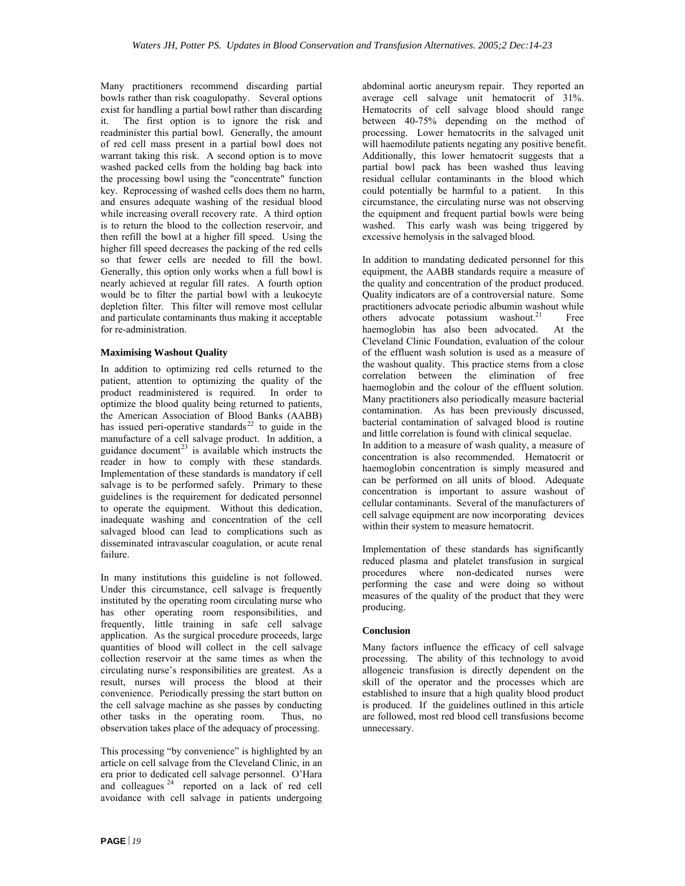Many practitioners recommend discarding partial bowls rather than risk coagulopathy. Several options exist for handling a partial bowl rather than discarding it. The first option is to ignore the risk and readminister this partial bowl. Generally, the amount of red cell mass present in a partial bowl does not warrant taking this risk. A second option is to move washed packed cells from the holding bag back into the processing bowl using the "concentrate" function key. Reprocessing of washed cells does them no harm, and ensures adequate washing of the residual blood while increasing overall recovery rate. A third option is to return the blood to the collection reservoir, and then refill the bowl at a higher fill speed. Using the higher fill speed decreases the packing of the red cells so that fewer cells are needed to fill the bowl. Generally, this option only works when a full bowl is nearly achieved at regular fill rates. A fourth option would be to filter the partial bowl with a leukocyte depletion filter. This filter will remove most cellular and particulate contaminants thus making it acceptable for re-administration.

#### **Maximising Washout Quality**

In addition to optimizing red cells returned to the patient, attention to optimizing the quality of the product readministered is required. In order to optimize the blood quality being returned to patients, the American Association of Blood Banks (AABB) has issued peri-operative standards $^{22}$  $^{22}$  $^{22}$  to guide in the manufacture of a cell salvage product. In addition, a guidance document<sup>[23](#page-31-3)</sup> is available which instructs the reader in how to comply with these standards. Implementation of these standards is mandatory if cell salvage is to be performed safely. Primary to these guidelines is the requirement for dedicated personnel to operate the equipment. Without this dedication, inadequate washing and concentration of the cell salvaged blood can lead to complications such as disseminated intravascular coagulation, or acute renal failure.

In many institutions this guideline is not followed. Under this circumstance, cell salvage is frequently instituted by the operating room circulating nurse who has other operating room responsibilities, and frequently, little training in safe cell salvage application. As the surgical procedure proceeds, large quantities of blood will collect in the cell salvage collection reservoir at the same times as when the circulating nurse's responsibilities are greatest. As a result, nurses will process the blood at their convenience. Periodically pressing the start button on the cell salvage machine as she passes by conducting other tasks in the operating room. Thus, no observation takes place of the adequacy of processing.

This processing "by convenience" is highlighted by an article on cell salvage from the Cleveland Clinic, in an era prior to dedicated cell salvage personnel. O'Hara and colleagues<sup>[24](#page-31-3)</sup> reported on a lack of red cell avoidance with cell salvage in patients undergoing

abdominal aortic aneurysm repair. They reported an average cell salvage unit hematocrit of 31%. Hematocrits of cell salvage blood should range between 40-75% depending on the method of processing. Lower hematocrits in the salvaged unit will haemodilute patients negating any positive benefit. Additionally, this lower hematocrit suggests that a partial bowl pack has been washed thus leaving residual cellular contaminants in the blood which could potentially be harmful to a patient. In this circumstance, the circulating nurse was not observing the equipment and frequent partial bowls were being washed. This early wash was being triggered by excessive hemolysis in the salvaged blood.

In addition to mandating dedicated personnel for this equipment, the AABB standards require a measure of the quality and concentration of the product produced. Quality indicators are of a controversial nature. Some practitioners advocate periodic albumin washout while others advocate potassium washout.<sup>21</sup> Free haemoglobin has also been advocated. At the Cleveland Clinic Foundation, evaluation of the colour of the effluent wash solution is used as a measure of the washout quality. This practice stems from a close correlation between the elimination of free haemoglobin and the colour of the effluent solution. Many practitioners also periodically measure bacterial contamination. As has been previously discussed, bacterial contamination of salvaged blood is routine and little correlation is found with clinical sequelae. In addition to a measure of wash quality, a measure of concentration is also recommended. Hematocrit or haemoglobin concentration is simply measured and can be performed on all units of blood. Adequate concentration is important to assure washout of cellular contaminants. Several of the manufacturers of cell salvage equipment are now incorporating devices within their system to measure hematocrit.

Implementation of these standards has significantly reduced plasma and platelet transfusion in surgical procedures where non-dedicated nurses were performing the case and were doing so without measures of the quality of the product that they were producing.

#### **Conclusion**

Many factors influence the efficacy of cell salvage processing. The ability of this technology to avoid allogeneic transfusion is directly dependent on the skill of the operator and the processes which are established to insure that a high quality blood product is produced. If the guidelines outlined in this article are followed, most red blood cell transfusions become unnecessary.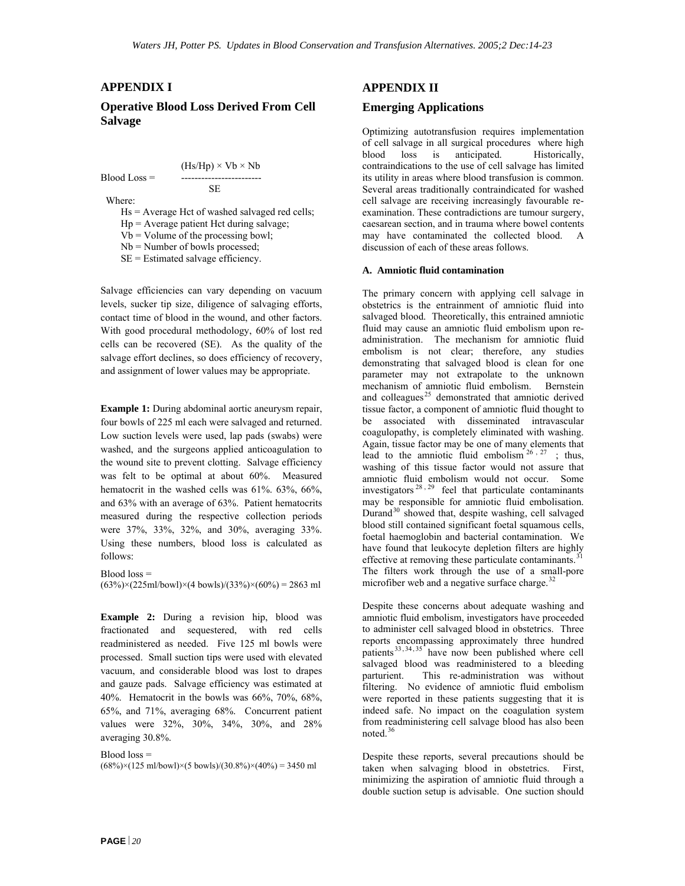#### **APPENDIX I**

#### **Operative Blood Loss Derived From Cell Salvage**

$$
(Hs/Hp) \times Vb \times Nb
$$
  
Blood Loss =

 SE Where:

Hs = Average Hct of washed salvaged red cells;

Hp = Average patient Hct during salvage;

 $Vb = Volume of the processing bowl;$ 

Nb = Number of bowls processed;

SE = Estimated salvage efficiency.

Salvage efficiencies can vary depending on vacuum levels, sucker tip size, diligence of salvaging efforts, contact time of blood in the wound, and other factors. With good procedural methodology, 60% of lost red cells can be recovered (SE). As the quality of the salvage effort declines, so does efficiency of recovery, and assignment of lower values may be appropriate.

**Example 1:** During abdominal aortic aneurysm repair, four bowls of 225 ml each were salvaged and returned. Low suction levels were used, lap pads (swabs) were washed, and the surgeons applied anticoagulation to the wound site to prevent clotting. Salvage efficiency was felt to be optimal at about 60%. Measured hematocrit in the washed cells was 61%. 63%, 66%, and 63% with an average of 63%. Patient hematocrits measured during the respective collection periods were 37%, 33%, 32%, and 30%, averaging 33%. Using these numbers, blood loss is calculated as follows:

 $Blood loss =$ 

 $(63\%) \times (225 \text{ml/bowl}) \times (4 \text{ bowls})/(33\%) \times (60\%) = 2863 \text{ ml}$ 

**Example 2:** During a revision hip, blood was fractionated and sequestered, with red cells readministered as needed. Five 125 ml bowls were processed. Small suction tips were used with elevated vacuum, and considerable blood was lost to drapes and gauze pads. Salvage efficiency was estimated at 40%. Hematocrit in the bowls was 66%, 70%, 68%, 65%, and 71%, averaging 68%. Concurrent patient values were 32%, 30%, 34%, 30%, and 28% averaging 30.8%.

Blood loss =  $(68\%) \times (125 \text{ ml/bowl}) \times (5 \text{ bowls})/(30.8\%) \times (40\%) = 3450 \text{ ml}$ 

### **APPENDIX II**

#### **Emerging Applications**

Optimizing autotransfusion requires implementation of cell salvage in all surgical procedures where high blood loss is anticipated. Historically, contraindications to the use of cell salvage has limited its utility in areas where blood transfusion is common. Several areas traditionally contraindicated for washed cell salvage are receiving increasingly favourable reexamination. These contradictions are tumour surgery, caesarean section, and in trauma where bowel contents may have contaminated the collected blood. A discussion of each of these areas follows.

#### **A. Amniotic fluid contamination**

The primary concern with applying cell salvage in obstetrics is the entrainment of amniotic fluid into salvaged blood. Theoretically, this entrained amniotic fluid may cause an amniotic fluid embolism upon readministration. The mechanism for amniotic fluid embolism is not clear; therefore, any studies demonstrating that salvaged blood is clean for one parameter may not extrapolate to the unknown mechanism of amniotic fluid embolism. Bernstein and colleagues<sup>[25](#page-31-3)</sup> demonstrated that amniotic derived tissue factor, a component of amniotic fluid thought to be associated with disseminated intravascular coagulopathy, is completely eliminated with washing. Again, tissue factor may be one of many elements that lead to the amniotic fluid embolism  $26.27$  $26.27$  $26.27$ ; thus, washing of this tissue factor would not assure that amniotic fluid embolism would not occur. Some investigators  $^{28}$  $^{28}$  $^{28}$ ,  $^{29}$  $^{29}$  $^{29}$  feel that particulate contaminants may be responsible for amniotic fluid embolisation. Durand $30$  showed that, despite washing, cell salvaged blood still contained significant foetal squamous cells, foetal haemoglobin and bacterial contamination. We have found that leukocyte depletion filters are highly effective at removing these particulate contaminants.<sup>[31](#page-31-3)</sup> The filters work through the use of a small-pore microfiber web and a negative surface charge.<sup>[32](#page-31-3)</sup>

Despite these concerns about adequate washing and amniotic fluid embolism, investigators have proceeded to administer cell salvaged blood in obstetrics. Three reports encompassing approximately three hundred patients  $33, 34, 35$  $33, 34, 35$  $33, 34, 35$  have now been published where cell salvaged blood was readministered to a bleeding parturient. This re-administration was without filtering. No evidence of amniotic fluid embolism were reported in these patients suggesting that it is indeed safe. No impact on the coagulation system from readministering cell salvage blood has also been noted.<sup>[36](#page-31-3)</sup>

Despite these reports, several precautions should be taken when salvaging blood in obstetrics. First, minimizing the aspiration of amniotic fluid through a double suction setup is advisable. One suction should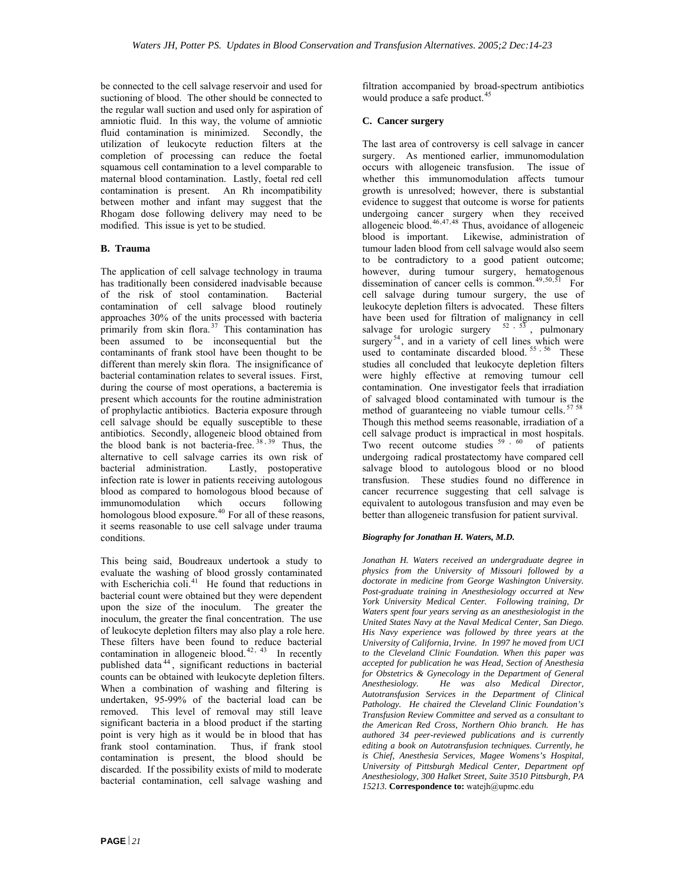be connected to the cell salvage reservoir and used for suctioning of blood. The other should be connected to the regular wall suction and used only for aspiration of amniotic fluid. In this way, the volume of amniotic fluid contamination is minimized. Secondly, the utilization of leukocyte reduction filters at the completion of processing can reduce the foetal squamous cell contamination to a level comparable to maternal blood contamination. Lastly, foetal red cell contamination is present. An Rh incompatibility between mother and infant may suggest that the Rhogam dose following delivery may need to be modified. This issue is yet to be studied.

#### **B. Trauma**

The application of cell salvage technology in trauma has traditionally been considered inadvisable because of the risk of stool contamination. Bacterial contamination of cell salvage blood routinely approaches 30% of the units processed with bacteria primarily from skin flora.<sup>[37](#page-31-3)</sup> This contamination has been assumed to be inconsequential but the contaminants of frank stool have been thought to be different than merely skin flora. The insignificance of bacterial contamination relates to several issues. First, during the course of most operations, a bacteremia is present which accounts for the routine administration of prophylactic antibiotics. Bacteria exposure through cell salvage should be equally susceptible to these antibiotics. Secondly, allogeneic blood obtained from the blood bank is not bacteria-free. [38](#page-31-3) , [39](#page-31-3) Thus, the alternative to cell salvage carries its own risk of bacterial administration. Lastly, postoperative infection rate is lower in patients receiving autologous blood as compared to homologous blood because of immunomodulation which occurs following homologous blood exposure.<sup>[40](#page-31-3)</sup> For all of these reasons, it seems reasonable to use cell salvage under trauma conditions.

This being said, Boudreaux undertook a study to evaluate the washing of blood grossly contaminated with Escherichia coli.<sup>[41](#page-31-3)</sup> He found that reductions in bacterial count were obtained but they were dependent upon the size of the inoculum. The greater the inoculum, the greater the final concentration. The use of leukocyte depletion filters may also play a role here. These filters have been found to reduce bacterial contamination in allogeneic blood.<sup>[42](#page-31-3), [43](#page-31-3)</sup> In recently published data [44](#page-31-3) , significant reductions in bacterial counts can be obtained with leukocyte depletion filters. When a combination of washing and filtering is undertaken, 95-99% of the bacterial load can be removed. This level of removal may still leave significant bacteria in a blood product if the starting point is very high as it would be in blood that has frank stool contamination. Thus, if frank stool contamination is present, the blood should be discarded. If the possibility exists of mild to moderate bacterial contamination, cell salvage washing and

filtration accompanied by broad-spectrum antibiotics would produce a safe product.<sup>[45](#page-31-3)</sup>

#### **C. Cancer surgery**

The last area of controversy is cell salvage in cancer surgery. As mentioned earlier, immunomodulation occurs with allogeneic transfusion. The issue of whether this immunomodulation affects tumour growth is unresolved; however, there is substantial evidence to suggest that outcome is worse for patients undergoing cancer surgery when they received allogeneic blood. $46,47,48$  $46,47,48$  $46,47,48$  Thus, avoidance of allogeneic blood is important. Likewise, administration of tumour laden blood from cell salvage would also seem to be contradictory to a good patient outcome; however, during tumour surgery, hematogenous<br>dissemination of cancer cells is common.<sup>49,50,51</sup> For dissemination of cancer cells is common.<sup>[49](#page-31-3),50,5</sup> cell salvage during tumour surgery, the use of leukocyte depletion filters is advocated. These filters have been used for filtration of malignancy in cell salvage for urologic surgery  $52, 53$  $52, 53$  $52, 53$ , pulmonary surgery<sup>[54](#page-31-3)</sup>, and in a variety of cell lines which were used to contaminate discarded blood.<sup>[55](#page-31-3),[56](#page-31-3)</sup> These studies all concluded that leukocyte depletion filters were highly effective at removing tumour cell contamination. One investigator feels that irradiation of salvaged blood contaminated with tumour is the method of guaranteeing no viable tumour cells. <sup>[57](#page-31-3) [58](#page-31-3)</sup> Though this method seems reasonable, irradiation of a cell salvage product is impractical in most hospitals. Two recent outcome studies <sup>[59](#page-31-3), [60](#page-31-3)</sup> of patients undergoing radical prostatectomy have compared cell salvage blood to autologous blood or no blood transfusion. These studies found no difference in cancer recurrence suggesting that cell salvage is equivalent to autologous transfusion and may even be better than allogeneic transfusion for patient survival.

#### *Biography for Jonathan H. Waters, M.D.*

*Jonathan H. Waters received an undergraduate degree in physics from the University of Missouri followed by a doctorate in medicine from George Washington University. Post-graduate training in Anesthesiology occurred at New York University Medical Center. Following training, Dr Waters spent four years serving as an anesthesiologist in the United States Navy at the Naval Medical Center, San Diego. His Navy experience was followed by three years at the University of California, Irvine. In 1997 he moved from UCI to the Cleveland Clinic Foundation. When this paper was accepted for publication he was Head, Section of Anesthesia for Obstetrics & Gynecology in the Department of General Anesthesiology. He was also Medical Director, Autotransfusion Services in the Department of Clinical Pathology. He chaired the Cleveland Clinic Foundation's Transfusion Review Committee and served as a consultant to the American Red Cross, Northern Ohio branch. He has authored 34 peer-reviewed publications and is currently editing a book on Autotransfusion techniques. Currently, he is Chief, Anesthesia Services, Magee Womens's Hospital, University of Pittsburgh Medical Center, Department opf Anesthesiology, 300 Halket Street, Suite 3510 Pittsburgh, PA 15213.* **Correspondence to:** watejh@upmc.edu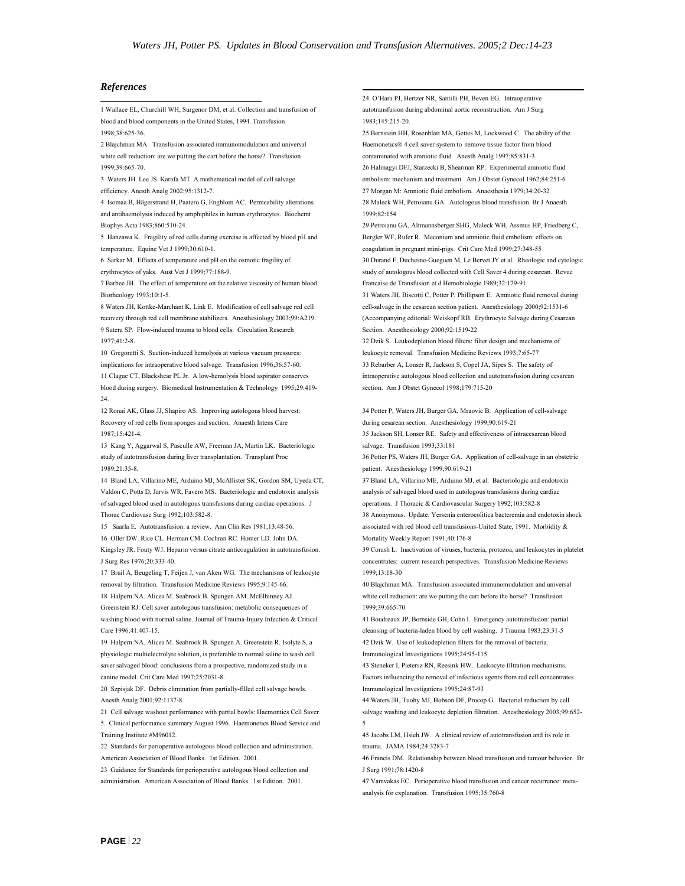#### *References*

 1 Wallace EL, Churchill WH, Surgenor DM, et al. Collection and transfusion of blood and blood components in the United States, 1994. Transfusion 1998;38:625-36. 25 Bernstein HH, Rosenblatt MA, Gettes M, Lockwood C. The ability of the

2 Blajchman MA. Transfusion-associated immunomodulation and universal white cell reduction: are we putting the cart before the horse? Transfusion

4 Isomaa B, Hägerstrand H, Paatero G, Engblom AC. Permeability alterations and antihaemolysis induced by amphiphiles in human erythrocytes. Biochemt Biophys Acta 1983;860:510-24.

5 Hanzawa K. Fragility of red cells during exercise is affected by blood pH and temperature. Equine Vet J 1999;30:610-1.

6 Sarkar M. Effects of temperature and pH on the osmotic fragility of erythrocytes of yaks. Aust Vet J 1999;77:188-9.

7 Barbee JH. The effect of temperature on the relative viscosity of human blood. Francaise de Transfusion et d Hemobiologie 1989;32:179-91 Biorheology 1993;10:1-5. 31 Waters JH, Biscotti C, Potter P, Phillipson E. Amniotic fluid removal during

8 Waters JH, Kottke-Marchant K, Link E. Modification of cell salvage red cell recovery through red cell membrane stabilizers. Anesthesiology 2003;99:A219. 9 Sutera SP. Flow-induced trauma to blood cells. Circulation Research 1977;41:2-8. 32 Dzik S. Leukodepletion blood filters: filter design and mechanisms of

10 Gregoretti S. Suction-induced hemolysis at various vacuum pressures: leukocyte removal. Transfusion Medicine Reviews 1993;7:65-77 implications for intraoperative blood salvage. Transfusion 1996;36:57-60. 33 Rebarber A, Lonser R, Jackson S, Copel JA, Sipes S. The safety of 11 Clague CT, Blackshear PL Jr. A low-hemolysis blood aspirator conserves blood during surgery. Biomedical Instrumentation & Technology 1995;29:419- 24.

12 Ronai AK, Glass JJ, Shapiro AS. Improving autologous blood harvest: Recovery of red cells from sponges and suction. Anaesth Intens Care 1987;15:421-4.

13 Kang Y, Aggarwal S, Pasculle AW, Freeman JA, Martin LK. Bacteriologic salvage. Transfusion 1993;33:181 study of autotransfusion during liver transplantation. Transplant Proc 1989;21:35-8.

14 Bland LA, Villarino ME, Arduino MJ, McAllister SK, Gordon SM, Uyeda CT, Valdon C, Potts D, Jarvis WR, Favero MS. Bacteriologic and endotoxin analysis of salvaged blood used in autologous transfusions during cardiac operations. J Thorac Cardiovasc Surg 1992;103:582-8.

15 Saarla E. Autotransfusion: a review. Ann Clin Res 1981;13:48-56. 16 Oller DW. Rice CL. Herman CM. Cochran RC. Homer LD. John DA. Kingsley JR. Fouty WJ. Heparin versus citrate anticoagulation in autotransfusion. J Surg Res 1976;20:333-40.

17 Bruil A, Beugeling T, Feijen J, van Aken WG. The mechanisms of leukocyte 1999;13:18-30 removal by filtration. Transfusion Medicine Reviews 1995;9:145-66. 40 Blajchman MA. Transfusion-associated immunomodulation and universal

18 Halpern NA. Alicea M. Seabrook B. Spungen AM. McElhinney AJ. Greenstein RJ. Cell saver autologous transfusion: metabolic consequences of washing blood with normal saline. Journal of Trauma-Injury Infection & Critical Care 1996;41:407-15.

19 Halpern NA. Alicea M. Seabrook B. Spungen A. Greenstein R. Isolyte S, a physiologic multielectrolyte solution, is preferable to normal saline to wash cell saver salvaged blood: conclusions from a prospective, randomized study in a canine model. Crit Care Med 1997;25:2031-8.

20 Szpisjak DF. Debris elimination from partially-filled cell salvage bowls. Immunological Investigations 1995;24:87-93 Anesth Analg 2001;92:1137-8. 44 Waters JH, Tuohy MJ, Hobson DF, Procop G. Bacterial reduction by cell

21 Cell salvage washout performance with partial bowls: Haemontics Cell Saver 5. Clinical performance summary August 1996. Haemonetics Blood Service and Training Institute #M96012. 45 Jacobs LM, Hsieh JW. A clinical review of autotransfusion and its role in

22 Standards for perioperative autologous blood collection and administration. trauma. JAMA 1984;24:3283-7

23 Guidance for Standards for perioperative autologous blood collection and J Surg 1991;78:1420-8 administration. American Association of Blood Banks. 1st Edition. 2001. 47 Vamvakas EC. Perioperative blood transfusion and cancer recurrence: meta-

24 O'Hara PJ, Hertzer NR, Santilli PH, Beven EG. Intraoperative autotransfusion during abdominal aortic reconstruction. Am J Surg 1983;145:215-20.

Haemonetics® 4 cell saver system to remove tissue factor from blood contaminated with amniotic fluid. Anesth Analg 1997;85:831-3 1999;39:665-70. 26 Halmagyi DFJ, Starzecki B, Shearman RP: Experimental amniotic fluid 3 Waters JH. Lee JS. Karafa MT. A mathematical model of cell salvage embolism: mechanism and treatment. Am J Obstet Gynecol 1962;84:251-6 efficiency. Anesth Analg 2002;95:1312-7. 27 Morgan M: Amniotic fluid embolism. Anaesthesia 1979;34:20-32 28 Maleck WH, Petroianu GA. Autologous blood transfusion. Br J Anaesth 1999;82:154

> 29 Petroianu GA, Altmannsberger SHG, Maleck WH, Assmus HP, Friedberg C, Bergler WF, Rufer R. Meconium and amniotic fluid embolism: effects on coagulation in pregnant mini-pigs. Crit Care Med 1999;27:348-55 30 Durand F, Duchesne-Gueguen M, Le Bervet JY et al. Rheologic and cytologic study of autologous blood collected with Cell Saver 4 during cesarean. Revue

cell-salvage in the cesarean section patient. Anesthesiology 2000;92:1531-6 (Accompanying editorial: Weiskopf RB. Erythrocyte Salvage during Cesarean Section. Anesthesiology 2000;92:1519-22

intraoperative autologous blood collection and autotransfusion during cesarean section. Am J Obstet Gynecol 1998;179:715-20

34 Potter P, Waters JH, Burger GA, Mraovic B. Application of cell-salvage during cesarean section. Anesthesiology 1999;90:619-21

35 Jackson SH, Lonser RE. Safety and effectiveness of intracesarean blood

36 Potter PS, Waters JH, Burger GA. Application of cell-salvage in an obstetric patient. Anesthesiology 1999;90:619-21

37 Bland LA, Villarino ME, Arduino MJ, et al. Bacteriologic and endotoxin analysis of salvaged blood used in autologous transfusions during cardiac operations. J Thoracic & Cardiovascular Surgery 1992;103:582-8 38 Anonymous. Update: Yersenia enterocolitica bacteremia and endotoxin shock associated with red blood cell transfusions-United State, 1991. Morbidity &

Mortality Weekly Report 1991;40:176-8

39 Corash L. Inactivation of viruses, bacteria, protozoa, and leukocytes in platelet concentrates: current research perspectives. Transfusion Medicine Reviews

white cell reduction: are we putting the cart before the horse? Transfusion 1999;39:665-70

41 Boudreaux JP, Bornside GH, Cohn I. Emergency autotransfusion: partial cleansing of bacteria-laden blood by cell washing. J Trauma 1983;23:31-5 42 Dzik W. Use of leukodepletion filters for the removal of bacteria. Immunological Investigations 1995;24:95-115

43 Steneker I, Pietersz RN, Reesink HW. Leukocyte filtration mechanisms. Factors influencing the removal of infectious agents from red cell concentrates.

salvage washing and leukocyte depletion filtration. Anesthesiology 2003;99:652- 5

American Association of Blood Banks. 1st Edition. 2001. 46 Francis DM. Relationship between blood transfusion and tumour behavior. Br

analysis for explanation. Transfusion 1995;35:760-8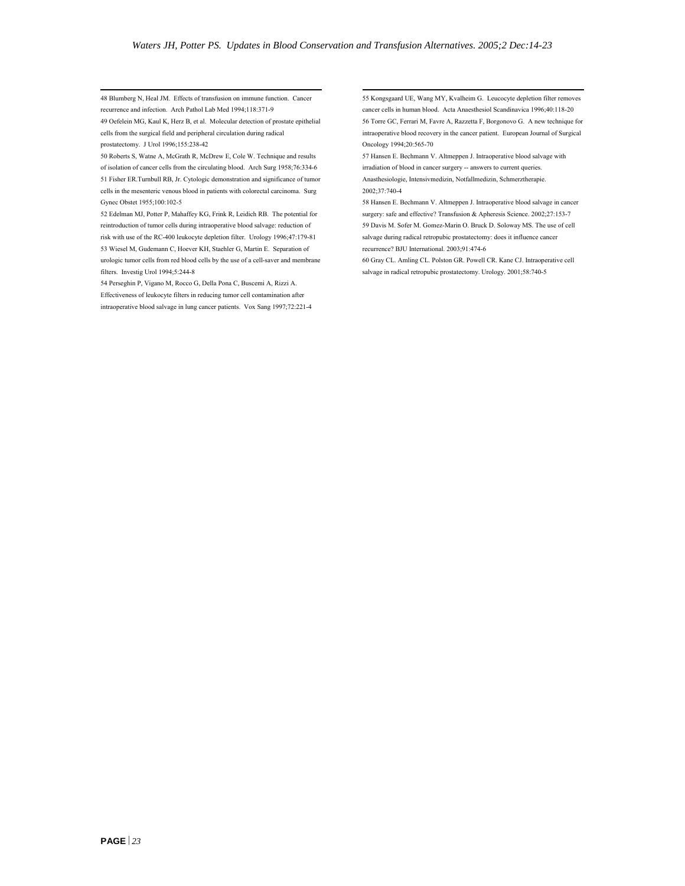48 Blumberg N, Heal JM. Effects of transfusion on immune function. Cancer recurrence and infection. Arch Pathol Lab Med 1994;118:371-9

49 Oefelein MG, Kaul K, Herz B, et al. Molecular detection of prostate epithelial cells from the surgical field and peripheral circulation during radical prostatectomy. J Urol 1996;155:238-42

50 Roberts S, Watne A, McGrath R, McDrew E, Cole W. Technique and results of isolation of cancer cells from the circulating blood. Arch Surg 1958;76:334-6 51 Fisher ER.Turnbull RB, Jr. Cytologic demonstration and significance of tumor cells in the mesenteric venous blood in patients with colorectal carcinoma. Surg

reintroduction of tumor cells during intraoperative blood salvage: reduction of risk with use of the RC-400 leukocyte depletion filter. Urology 1996;47:179-81 53 Wiesel M, Gudemann C, Hoever KH, Staehler G, Martin E. Separation of recurrence? BJU International. 2003;91:474-6 urologic tumor cells from red blood cells by the use of a cell-saver and membrane filters. Investig Urol 1994;5:244-8

54 Perseghin P, Vigano M, Rocco G, Della Pona C, Buscemi A, Rizzi A. Effectiveness of leukocyte filters in reducing tumor cell contamination after intraoperative blood salvage in lung cancer patients. Vox Sang 1997;72:221-4 55 Kongsgaard UE, Wang MY, Kvalheim G. Leucocyte depletion filter removes cancer cells in human blood. Acta Anaesthesiol Scandinavica 1996;40:118-20 56 Torre GC, Ferrari M, Favre A, Razzetta F, Borgonovo G. A new technique for intraoperative blood recovery in the cancer patient. European Journal of Surgical Oncology 1994;20:565-70

57 Hansen E. Bechmann V. Altmeppen J. Intraoperative blood salvage with irradiation of blood in cancer surgery -- answers to current queries. Anasthesiologie, Intensivmedizin, Notfallmedizin, Schmerztherapie. 2002;37:740-4

Gynec Obstet 1955;100:102-5 58 Hansen E. Bechmann V. Altmeppen J. Intraoperative blood salvage in cancer 52 Edelman MJ, Potter P, Mahaffey KG, Frink R, Leidich RB. The potential for surgery: safe and effective? Transfusion & Apheresis Science. 2002;27:153-7 59 Davis M. Sofer M. Gomez-Marin O. Bruck D. Soloway MS. The use of cell salvage during radical retropubic prostatectomy: does it influence cancer

> 60 Gray CL. Amling CL. Polston GR. Powell CR. Kane CJ. Intraoperative cell salvage in radical retropubic prostatectomy. Urology. 2001;58:740-5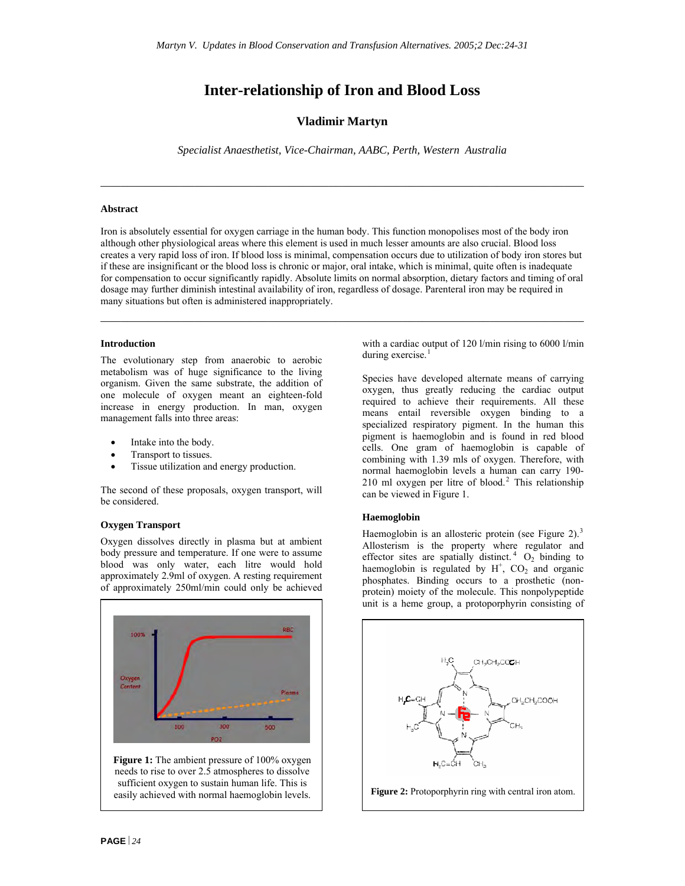### **Inter-relationship of Iron and Blood Loss**

**Vladimir Martyn** 

*Specialist Anaesthetist, Vice-Chairman, AABC, Perth, Western Australia* 

 $\mathcal{L}_\text{max}$  , and the contribution of the contribution of the contribution of the contribution of the contribution of the contribution of the contribution of the contribution of the contribution of the contribution of t

#### **Abstract**

Iron is absolutely essential for oxygen carriage in the human body. This function monopolises most of the body iron although other physiological areas where this element is used in much lesser amounts are also crucial. Blood loss creates a very rapid loss of iron. If blood loss is minimal, compensation occurs due to utilization of body iron stores but if these are insignificant or the blood loss is chronic or major, oral intake, which is minimal, quite often is inadequate for compensation to occur significantly rapidly. Absolute limits on normal absorption, dietary factors and timing of oral dosage may further diminish intestinal availability of iron, regardless of dosage. Parenteral iron may be required in many situations but often is administered inappropriately.

 $\mathcal{L}_\text{max}$  , and the contribution of the contribution of the contribution of the contribution of the contribution of the contribution of the contribution of the contribution of the contribution of the contribution of t

#### **Introduction**

The evolutionary step from anaerobic to aerobic metabolism was of huge significance to the living organism. Given the same substrate, the addition of one molecule of oxygen meant an eighteen-fold increase in energy production. In man, oxygen management falls into three areas:

- Intake into the body.
- Transport to tissues.
- Tissue utilization and energy production.

The second of these proposals, oxygen transport, will be considered.

#### **Oxygen Transport**

Oxygen dissolves directly in plasma but at ambient body pressure and temperature. If one were to assume blood was only water, each litre would hold approximately 2.9ml of oxygen. A resting requirement of approximately 250ml/min could only be achieved





with a cardiac output of 120 l/min rising to 6000 l/min during exercise. $<sup>1</sup>$  $<sup>1</sup>$  $<sup>1</sup>$ </sup>

Species have developed alternate means of carrying oxygen, thus greatly reducing the cardiac output required to achieve their requirements. All these means entail reversible oxygen binding to a specialized respiratory pigment. In the human this pigment is haemoglobin and is found in red blood cells. One gram of haemoglobin is capable of combining with 1.39 mls of oxygen. Therefore, with normal haemoglobin levels a human can carry 190-  $210$  $210$  ml oxygen per litre of blood.<sup>2</sup> This relationship can be viewed in Figure 1.

#### **Haemoglobin**

Haemoglobin is an allosteric protein (see Figure 2).<sup>[3](#page-31-4)</sup> Allosterism is the property where regulator and effector sites are spatially distinct.<sup>[4](#page-31-4)</sup>  $O_2$  binding to haemoglobin is regulated by  $H^+$ ,  $CO_2$  and organic phosphates. Binding occurs to a prosthetic (nonprotein) moiety of the molecule. This nonpolypeptide unit is a heme group, a protoporphyrin consisting of



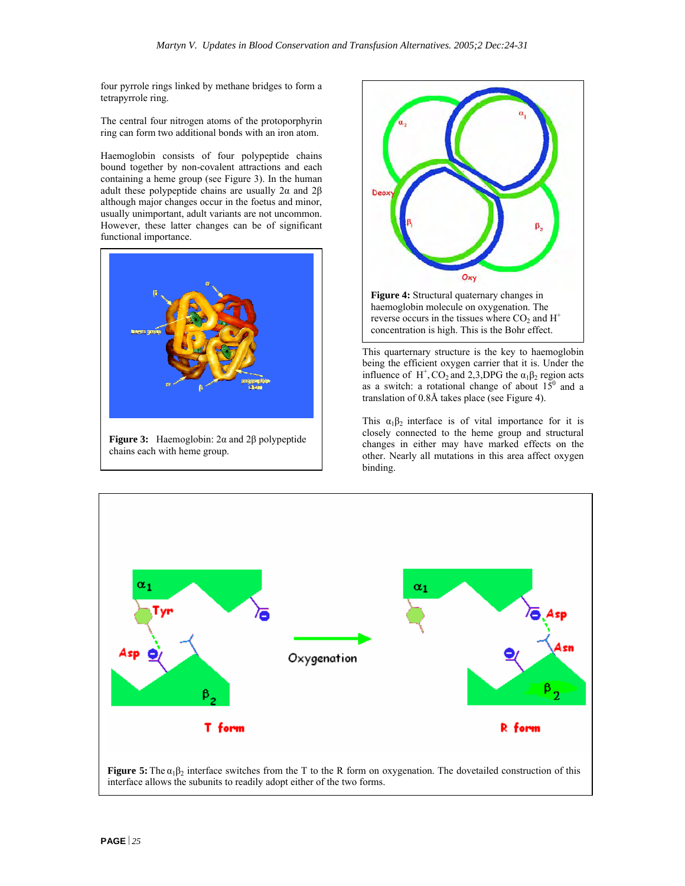four pyrrole rings linked by methane bridges to form a tetrapyrrole ring.

The central four nitrogen atoms of the protoporphyrin ring can form two additional bonds with an iron atom.

Haemoglobin consists of four polypeptide chains bound together by non-covalent attractions and each containing a heme group (see Figure 3). In the human adult these polypeptide chains are usually  $2\alpha$  and  $2\beta$ although major changes occur in the foetus and minor, usually unimportant, adult variants are not uncommon. However, these latter changes can be of significant functional importance.



**Figure 3:** Haemoglobin: 2α and 2β polypeptide chains each with heme group.



This quarternary structure is the key to haemoglobin being the efficient oxygen carrier that it is. Under the influence of H<sup>+</sup>, CO<sub>2</sub> and 2,3, DPG the  $\alpha_1\beta_2$  region acts as a switch: a rotational change of about  $15^{\circ}$  and a translation of 0.8Å takes place (see Figure 4).

This  $\alpha_1 \beta_2$  interface is of vital importance for it is closely connected to the heme group and structural changes in either may have marked effects on the other. Nearly all mutations in this area affect oxygen binding.



**Figure 5:** The  $\alpha_1\beta_2$  interface switches from the T to the R form on oxygenation. The dovetailed construction of this interface allows the subunits to readily adopt either of the two forms.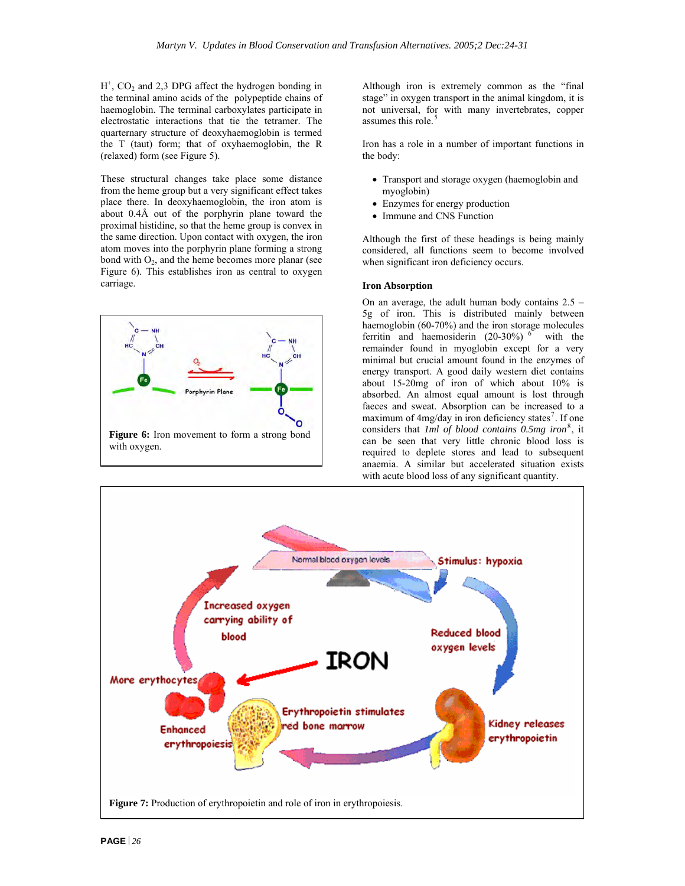$H^+$ , CO<sub>2</sub> and 2,3 DPG affect the hydrogen bonding in the terminal amino acids of the polypeptide chains of haemoglobin. The terminal carboxylates participate in electrostatic interactions that tie the tetramer. The quarternary structure of deoxyhaemoglobin is termed the T (taut) form; that of oxyhaemoglobin, the R (relaxed) form (see Figure 5).

These structural changes take place some distance from the heme group but a very significant effect takes place there. In deoxyhaemoglobin, the iron atom is about 0.4Å out of the porphyrin plane toward the proximal histidine, so that the heme group is convex in the same direction. Upon contact with oxygen, the iron atom moves into the porphyrin plane forming a strong bond with  $O_2$ , and the heme becomes more planar (see Figure 6). This establishes iron as central to oxygen carriage.



Although iron is extremely common as the "final stage" in oxygen transport in the animal kingdom, it is not universal, for with many invertebrates, copper assumes this role.<sup>[5](#page-31-4)</sup>

Iron has a role in a number of important functions in the body:

- Transport and storage oxygen (haemoglobin and myoglobin)
- Enzymes for energy production
- Immune and CNS Function

Although the first of these headings is being mainly considered, all functions seem to become involved when significant iron deficiency occurs.

#### **Iron Absorption**

On an average, the adult human body contains  $2.5 -$ 5g of iron. This is distributed mainly between haemoglobin (60-70%) and the iron storage molecules ferritin and haemosiderin  $(20-30\%)$ <sup>[6](#page-31-4)</sup> with the remainder found in myoglobin except for a very minimal but crucial amount found in the enzymes of energy transport. A good daily western diet contains about 15-20mg of iron of which about 10% is absorbed. An almost equal amount is lost through faeces and sweat. Absorption can be increased to a maximum of  $4mg/day$  in iron deficiency states<sup>[7](#page-31-4)</sup>. If one considers that *1ml of blood contains 0.5mg iron*[8](#page-31-4) , it can be seen that very little chronic blood loss is required to deplete stores and lead to subsequent anaemia. A similar but accelerated situation exists with acute blood loss of any significant quantity.

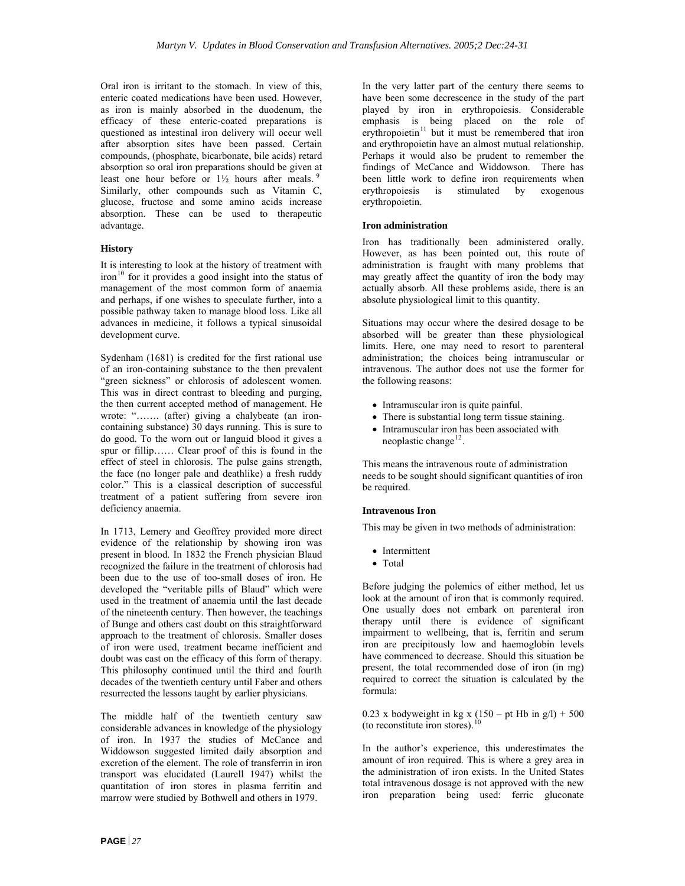Oral iron is irritant to the stomach. In view of this, enteric coated medications have been used. However, as iron is mainly absorbed in the duodenum, the efficacy of these enteric-coated preparations is questioned as intestinal iron delivery will occur well after absorption sites have been passed. Certain compounds, (phosphate, bicarbonate, bile acids) retard absorption so oral iron preparations should be given at least one hour before or  $1\frac{1}{2}$  hours after meals. <sup>[9](#page-31-4)</sup> Similarly, other compounds such as Vitamin C, glucose, fructose and some amino acids increase absorption. These can be used to therapeutic advantage.

#### **History**

It is interesting to look at the history of treatment with iron<sup>[10](#page-31-4)</sup> for it provides a good insight into the status of management of the most common form of anaemia and perhaps, if one wishes to speculate further, into a possible pathway taken to manage blood loss. Like all advances in medicine, it follows a typical sinusoidal development curve.

Sydenham (1681) is credited for the first rational use of an iron-containing substance to the then prevalent "green sickness" or chlorosis of adolescent women. This was in direct contrast to bleeding and purging, the then current accepted method of management. He wrote: "……. (after) giving a chalybeate (an ironcontaining substance) 30 days running. This is sure to do good. To the worn out or languid blood it gives a spur or fillip…… Clear proof of this is found in the effect of steel in chlorosis. The pulse gains strength, the face (no longer pale and deathlike) a fresh ruddy color." This is a classical description of successful treatment of a patient suffering from severe iron deficiency anaemia.

In 1713, Lemery and Geoffrey provided more direct evidence of the relationship by showing iron was present in blood. In 1832 the French physician Blaud recognized the failure in the treatment of chlorosis had been due to the use of too-small doses of iron. He developed the "veritable pills of Blaud" which were used in the treatment of anaemia until the last decade of the nineteenth century. Then however, the teachings of Bunge and others cast doubt on this straightforward approach to the treatment of chlorosis. Smaller doses of iron were used, treatment became inefficient and doubt was cast on the efficacy of this form of therapy. This philosophy continued until the third and fourth decades of the twentieth century until Faber and others resurrected the lessons taught by earlier physicians.

The middle half of the twentieth century saw considerable advances in knowledge of the physiology of iron. In 1937 the studies of McCance and Widdowson suggested limited daily absorption and excretion of the element. The role of transferrin in iron transport was elucidated (Laurell 1947) whilst the quantitation of iron stores in plasma ferritin and marrow were studied by Bothwell and others in 1979.

In the very latter part of the century there seems to have been some decrescence in the study of the part played by iron in erythropoiesis. Considerable emphasis is being placed on the role of erythropoietin $11$  but it must be remembered that iron and erythropoietin have an almost mutual relationship. Perhaps it would also be prudent to remember the findings of McCance and Widdowson. There has been little work to define iron requirements when erythropoiesis is stimulated by exogenous erythropoietin.

#### **Iron administration**

Iron has traditionally been administered orally. However, as has been pointed out, this route of administration is fraught with many problems that may greatly affect the quantity of iron the body may actually absorb. All these problems aside, there is an absolute physiological limit to this quantity.

Situations may occur where the desired dosage to be absorbed will be greater than these physiological limits. Here, one may need to resort to parenteral administration; the choices being intramuscular or intravenous. The author does not use the former for the following reasons:

- Intramuscular iron is quite painful.
- There is substantial long term tissue staining.
- Intramuscular iron has been associated with neoplastic change<sup>[12](#page-31-4)</sup>.

This means the intravenous route of administration needs to be sought should significant quantities of iron be required.

#### **Intravenous Iron**

This may be given in two methods of administration:

- Intermittent
- Total

Before judging the polemics of either method, let us look at the amount of iron that is commonly required. One usually does not embark on parenteral iron therapy until there is evidence of significant impairment to wellbeing, that is, ferritin and serum iron are precipitously low and haemoglobin levels have commenced to decrease. Should this situation be present, the total recommended dose of iron (in mg) required to correct the situation is calculated by the formula:

0.23 x bodyweight in kg x  $(150 - pt \text{ Hb in g/l}) + 500$ (to reconstitute iron stores).<sup>[10](#page-31-4)</sup>

In the author's experience, this underestimates the amount of iron required. This is where a grey area in the administration of iron exists. In the United States total intravenous dosage is not approved with the new iron preparation being used: ferric gluconate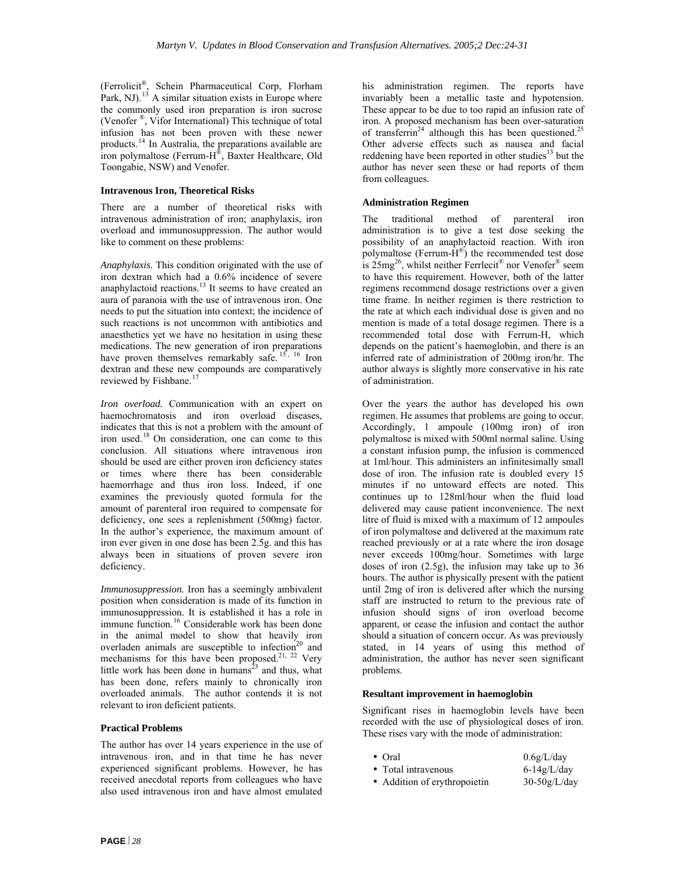(Ferrolicit®, Schein Pharmaceutical Corp, Florham Park, NJ).<sup>[13](#page-31-4)</sup> A similar situation exists in Europe where the commonly used iron preparation is iron sucrose (Venofer ®, Vifor International) This technique of total infusion has not been proven with these newer products.[14](#page-31-4) In Australia, the preparations available are iron polymaltose (Ferrum-H®, Baxter Healthcare, Old Toongabie, NSW) and Venofer.

#### **Intravenous Iron, Theoretical Risks**

There are a number of theoretical risks with intravenous administration of iron; anaphylaxis, iron overload and immunosuppression. The author would like to comment on these problems:

*Anaphylaxis.* This condition originated with the use of iron dextran which had a 0.6% incidence of severe anaphylactoid reactions.<sup>13</sup> It seems to have created an aura of paranoia with the use of intravenous iron. One needs to put the situation into context; the incidence of such reactions is not uncommon with antibiotics and anaesthetics yet we have no hesitation in using these medications. The new generation of iron preparations have proven themselves remarkably safe.  $15, 16$  $15, 16$  Iron dextran and these new compounds are comparatively reviewed by Fishbane.<sup>[17](#page-31-4)</sup>

*Iron overload.* Communication with an expert on haemochromatosis and iron overload diseases, indicates that this is not a problem with the amount of iron used.[18](#page-31-4) On consideration, one can come to this conclusion. All situations where intravenous iron should be used are either proven iron deficiency states or times where there has been considerable haemorrhage and thus iron loss. Indeed, if one examines the previously quoted formula for the amount of parenteral iron required to compensate for deficiency, one sees a replenishment (500mg) factor. In the author's experience, the maximum amount of iron ever given in one dose has been 2.5g. and this has always been in situations of proven severe iron deficiency.

*Immunosuppression.* Iron has a seemingly ambivalent position when consideration is made of its function in immunosuppression. It is established it has a role in immune function.<sup>[16](#page-31-4)</sup> Considerable work has been done in the animal model to show that heavily iron overladen animals are susceptible to infection<sup>20</sup> and mechanisms for this have been proposed.<sup>21, 22</sup> Very little work has been done in humans<sup>23</sup> and thus, what has been done, refers mainly to chronically iron overloaded animals. The author contends it is not relevant to iron deficient patients.

#### **Practical Problems**

The author has over 14 years experience in the use of intravenous iron, and in that time he has never experienced significant problems. However, he has received anecdotal reports from colleagues who have also used intravenous iron and have almost emulated

his administration regimen. The reports have invariably been a metallic taste and hypotension. These appear to be due to too rapid an infusion rate of iron. A proposed mechanism has been over-saturation of transferrin<sup>24</sup> although this has been questioned.<sup>25</sup> Other adverse effects such as nausea and facial reddening have been reported in other studies $13$  but the author has never seen these or had reports of them from colleagues.

#### **Administration Regimen**

The traditional method of parenteral iron administration is to give a test dose seeking the possibility of an anaphylactoid reaction. With iron polymaltose (Ferrum- $\hat{H}^{\circledR}$ ) the recommended test dose is  $25mg^{26}$ , whilst neither Ferrlecit<sup>®</sup> nor Venofer<sup>®</sup> seem to have this requirement. However, both of the latter regimens recommend dosage restrictions over a given time frame. In neither regimen is there restriction to the rate at which each individual dose is given and no mention is made of a total dosage regimen. There is a recommended total dose with Ferrum-H, which depends on the patient's haemoglobin, and there is an inferred rate of administration of 200mg iron/hr. The author always is slightly more conservative in his rate of administration.

Over the years the author has developed his own regimen. He assumes that problems are going to occur. Accordingly, 1 ampoule (100mg iron) of iron polymaltose is mixed with 500ml normal saline. Using a constant infusion pump, the infusion is commenced at 1ml/hour. This administers an infinitesimally small dose of iron. The infusion rate is doubled every 15 minutes if no untoward effects are noted. This continues up to 128ml/hour when the fluid load delivered may cause patient inconvenience. The next litre of fluid is mixed with a maximum of 12 ampoules of iron polymaltose and delivered at the maximum rate reached previously or at a rate where the iron dosage never exceeds 100mg/hour. Sometimes with large doses of iron (2.5g), the infusion may take up to 36 hours. The author is physically present with the patient until 2mg of iron is delivered after which the nursing staff are instructed to return to the previous rate of infusion should signs of iron overload become apparent, or cease the infusion and contact the author should a situation of concern occur. As was previously stated, in 14 years of using this method of administration, the author has never seen significant problems.

#### **Resultant improvement in haemoglobin**

Significant rises in haemoglobin levels have been recorded with the use of physiological doses of iron. These rises vary with the mode of administration:

| $\bullet$ Oral               | 0.6g/L/day     |
|------------------------------|----------------|
| • Total intravenous          | $6-14g/L/day$  |
| • Addition of erythropoietin | $30-50g/L/day$ |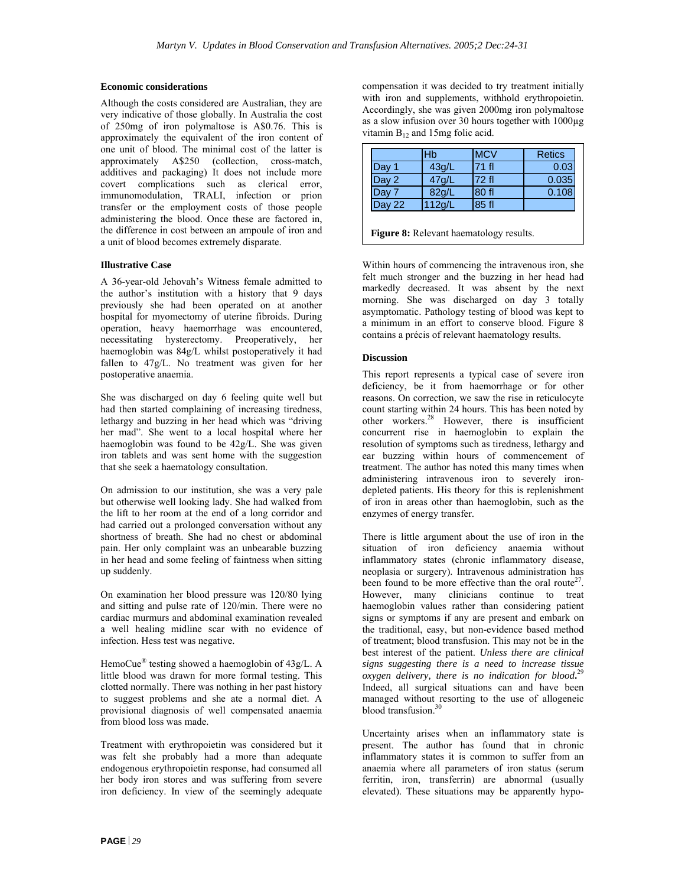#### **Economic considerations**

Although the costs considered are Australian, they are very indicative of those globally. In Australia the cost of 250mg of iron polymaltose is A\$0.76. This is approximately the equivalent of the iron content of one unit of blood. The minimal cost of the latter is approximately A\$250 (collection, cross-match, additives and packaging) It does not include more covert complications such as clerical error, immunomodulation, TRALI, infection or prion transfer or the employment costs of those people administering the blood. Once these are factored in, the difference in cost between an ampoule of iron and a unit of blood becomes extremely disparate.

#### **Illustrative Case**

A 36-year-old Jehovah's Witness female admitted to the author's institution with a history that 9 days previously she had been operated on at another hospital for myomectomy of uterine fibroids. During operation, heavy haemorrhage was encountered, necessitating hysterectomy. Preoperatively, her haemoglobin was 84g/L whilst postoperatively it had fallen to 47g/L. No treatment was given for her postoperative anaemia.

She was discharged on day 6 feeling quite well but had then started complaining of increasing tiredness, lethargy and buzzing in her head which was "driving her mad". She went to a local hospital where her haemoglobin was found to be 42g/L. She was given iron tablets and was sent home with the suggestion that she seek a haematology consultation.

On admission to our institution, she was a very pale but otherwise well looking lady. She had walked from the lift to her room at the end of a long corridor and had carried out a prolonged conversation without any shortness of breath. She had no chest or abdominal pain. Her only complaint was an unbearable buzzing in her head and some feeling of faintness when sitting up suddenly.

On examination her blood pressure was 120/80 lying and sitting and pulse rate of 120/min. There were no cardiac murmurs and abdominal examination revealed a well healing midline scar with no evidence of infection. Hess test was negative.

HemoCue® testing showed a haemoglobin of 43g/L. A little blood was drawn for more formal testing. This clotted normally. There was nothing in her past history to suggest problems and she ate a normal diet. A provisional diagnosis of well compensated anaemia from blood loss was made.

Treatment with erythropoietin was considered but it was felt she probably had a more than adequate endogenous erythropoietin response, had consumed all her body iron stores and was suffering from severe iron deficiency. In view of the seemingly adequate

compensation it was decided to try treatment initially with iron and supplements, withhold erythropoietin. Accordingly, she was given 2000mg iron polymaltose as a slow infusion over 30 hours together with 1000µg vitamin  $B_{12}$  and 15mg folic acid.

|                                                | Hb     | <b>MCV</b> | <b>Retics</b> |  |
|------------------------------------------------|--------|------------|---------------|--|
| Day 1                                          | 43g/L  | 71 fl      | 0.03          |  |
| Day 2                                          | 47g/L  | 72 fl      | 0.035         |  |
| Day 7                                          | 82g/L  | 80 fl      | 0.108         |  |
| Day 22                                         | 112g/L | 85 fl      |               |  |
|                                                |        |            |               |  |
| <b>Figure 8:</b> Relevant haematology results. |        |            |               |  |

Within hours of commencing the intravenous iron, she felt much stronger and the buzzing in her head had markedly decreased. It was absent by the next morning. She was discharged on day 3 totally asymptomatic. Pathology testing of blood was kept to a minimum in an effort to conserve blood. Figure 8 contains a précis of relevant haematology results.

#### **Discussion**

This report represents a typical case of severe iron deficiency, be it from haemorrhage or for other reasons. On correction, we saw the rise in reticulocyte count starting within 24 hours. This has been noted by other workers.28 However, there is insufficient concurrent rise in haemoglobin to explain the resolution of symptoms such as tiredness, lethargy and ear buzzing within hours of commencement of treatment. The author has noted this many times when administering intravenous iron to severely irondepleted patients. His theory for this is replenishment of iron in areas other than haemoglobin, such as the enzymes of energy transfer.

There is little argument about the use of iron in the situation of iron deficiency anaemia without inflammatory states (chronic inflammatory disease, neoplasia or surgery). Intravenous administration has been found to be more effective than the oral route<sup>27</sup>. However, many clinicians continue to treat haemoglobin values rather than considering patient signs or symptoms if any are present and embark on the traditional, easy, but non-evidence based method of treatment; blood transfusion. This may not be in the best interest of the patient. *Unless there are clinical signs suggesting there is a need to increase tissue oxygen delivery, there is no indication for blood***.** 29 Indeed, all surgical situations can and have been managed without resorting to the use of allogeneic blood transfusion.<sup>3</sup>

Uncertainty arises when an inflammatory state is present. The author has found that in chronic inflammatory states it is common to suffer from an anaemia where all parameters of iron status (serum ferritin, iron, transferrin) are abnormal (usually elevated). These situations may be apparently hypo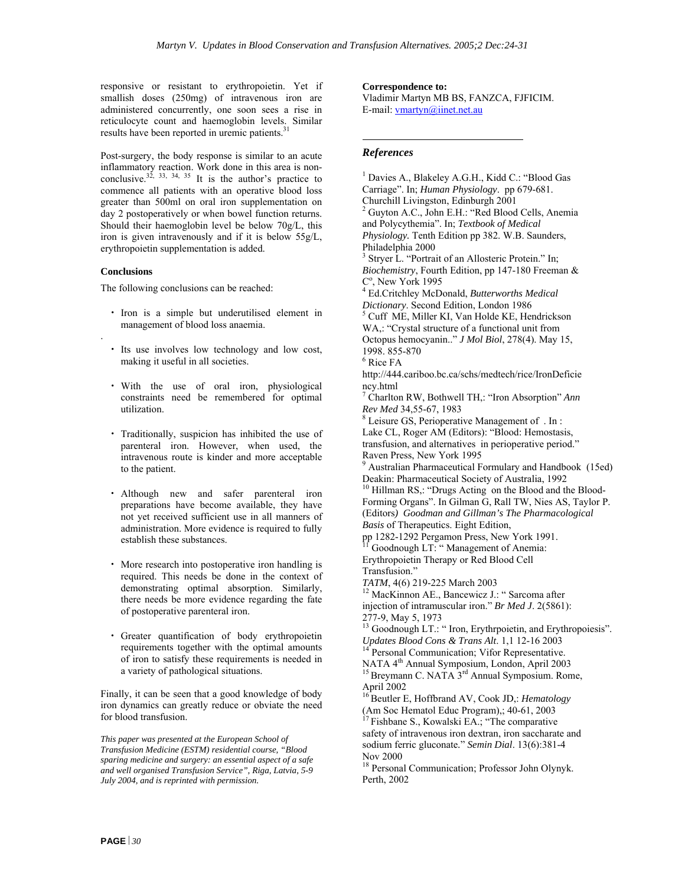responsive or resistant to erythropoietin. Yet if smallish doses (250mg) of intravenous iron are administered concurrently, one soon sees a rise in reticulocyte count and haemoglobin levels. Similar results have been reported in uremic patients.<sup>31</sup>

Post-surgery, the body response is similar to an acute **References** inflammatory reaction. Work done in this area is nonconclusive.<sup>32, 33, 34, 35</sup> It is the author's practice to commence all patients with an operative blood loss greater than 500ml on oral iron supplementation on day 2 postoperatively or when bowel function returns. Should their haemoglobin level be below 70g/L, this iron is given intravenously and if it is below 55g/L, erythropoietin supplementation is added.

#### **Conclusions**

.

The following conclusions can be reached:

- management of blood loss anaemia.
- Its use involves low technology and low cost, making it useful in all societies. 6
- With the use of oral iron, physiological ncy.html constraints need be remembered for optimal utilization.
- Traditionally, suspicion has inhibited the use of parenteral iron. However, when used, the intravenous route is kinder and more acceptable to the patient.
- Although new and safer parenteral iron preparations have become available, they have not yet received sufficient use in all manners of administration. More evidence is required to fully
- More research into postoperative iron handling is<br>
required. This needs be done in the context of Transfusion."<br>
TATM, 4(6) 219-225 March 2003 required. This needs be done in the context of demonstrating optimal absorption. Similarly, there needs be more evidence regarding the fate of postoperative parenteral iron.
- Greater quantification of body erythropoietin *Updates Blood Cons & Trans Alt*. 1,1 12-16 2003 requirements together with the optimal amounts of iron to satisfy these requirements is needed in a variety of pathological situations.

April 2002 Finally, it can be seen that a good knowledge of body iron dynamics can greatly reduce or obviate the need for blood transfusion.

*This paper was presented at the European School of Transfusion Medicine (ESTM) residential course, "Blood sparing medicine and surgery: an essential aspect of a safe and well organised Transfusion Service", Riga, Latvia, 5-9 July 2004, and is reprinted with permission.* 

**Correspondence to:**

Vladimir Martyn MB BS, FANZCA, FJFICIM. E-mail: [vmartyn@iinet.net.au](mailto:vmartyn@iinet.net.au)

 $\overline{a}$ 

<sup>1</sup> Davies A., Blakeley A.G.H., Kidd C.: "Blood Gas Carriage". In; *Human Physiology*. pp 679-681. Churchill Livingston, Edinburgh 2001 2 Guyton A.C., John E.H.: "Red Blood Cells, Anemia and Polycythemia". In; *Textbook of Medical Physiology.* Tenth Edition pp 382. W.B. Saunders, Philadelphia 2000 <sup>3</sup> Stryer L. "Portrait of an Allosteric Protein." In; *Biochemistry*, Fourth Edition, pp 147-180 Freeman &  $C^{\circ}$ , New York 1995 Ed.Critchley McDonald, *Butterworths Medical*  • Iron is a simple but underutilised element in  $\frac{Dictionary}{S}$ . Second Edition, London 1986 • Iron is a simple but underutilised element in 5 Cuff ME, Miller KI, Van Holde KE, Hendrickson WA,: "Crystal structure of a functional unit from Octopus hemocyanin.." *J Mol Biol*, 278(4). May 15, 1998. 855-870  $^6$  Rice FA  $\,$ http://444.cariboo.bc.ca/schs/medtech/rice/IronDeficie 7 Charlton RW, Bothwell TH,: "Iron Absorption" *Ann Rev Med* 34,55-67, 1983 Leisure GS, Perioperative Management of . In : Lake CL, Roger AM (Editors): "Blood: Hemostasis, transfusion, and alternatives in perioperative period." Raven Press, New York 1995 Australian Pharmaceutical Formulary and Handbook (15ed) Deakin: Pharmaceutical Society of Australia, 1992 <sup>10</sup> Hillman RS,: "Drugs Acting on the Blood and the Blood-Forming Organs". In Gilman G, Rall TW, Nies AS, Taylor P. (Editors*) Goodman and Gillman's The Pharmacological Basis* of Therapeutics. Eight Edition, establish these substances.<br>
pp 1282-1292 Pergamon Press, New York 1991.<br>
<sup>11</sup> Goodnough LT: " Management of Anemia: Erythropoietin Therapy or Red Blood Cell <sup>12</sup> MacKinnon AE., Bancewicz J.: " Sarcoma after injection of intramuscular iron." *Br Med J*. 2(5861): 277-9, May 5, 1973 <sup>13</sup> Goodnough LT.: " Iron, Erythrpoietin, and Erythropoiesis". Personal Communication; Vifor Representative. NATA 4<sup>th</sup> Annual Symposium, London, April 2003<br><sup>15</sup> Breymann C. NATA 3<sup>rd</sup> Annual Symposium. Rome, 16 Beutler E, Hoffbrand AV, Cook JD,: *Hematology* (Am Soc Hematol Educ Program),; 40-61, 2003 17 Fishbane S., Kowalski EA.; "The comparative safety of intravenous iron dextran, iron saccharate and sodium ferric gluconate*.*" *Semin Dial*. 13(6):381-4 Nov 2000 <sup>18</sup> Personal Communication; Professor John Olynyk.